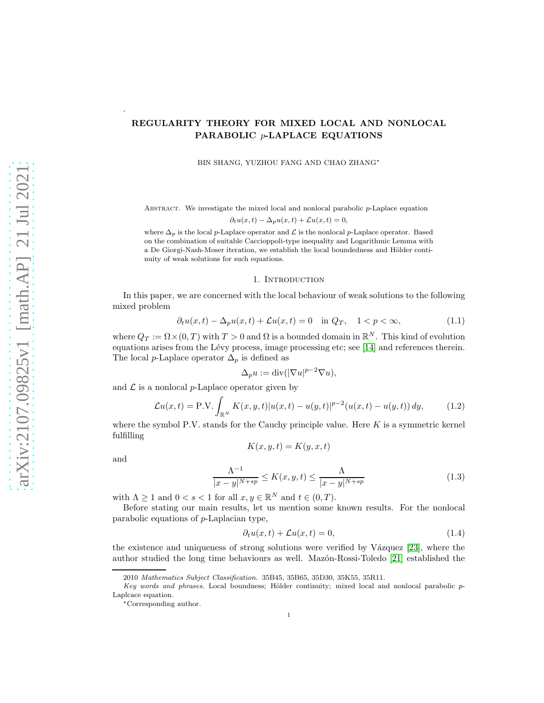# REGULARITY THEORY FOR MIXED LOCAL AND NONLOCAL PARABOLIC p-LAPLACE EQUATIONS

BIN SHANG, YUZHOU FANG AND CHAO ZHANG<sup>∗</sup>

Abstract. We investigate the mixed local and nonlocal parabolic p-Laplace equation  $\partial_t u(x,t) - \Delta_p u(x,t) + \mathcal{L}u(x,t) = 0,$ 

where  $\Delta_p$  is the local p-Laplace operator and  $\mathcal L$  is the nonlocal p-Laplace operator. Based on the combination of suitable Caccioppoli-type inequality and Logarithmic Lemma with a De Giorgi-Nash-Moser iteration, we establish the local boundedness and Hölder continuity of weak solutions for such equations.

## <span id="page-0-1"></span>1. INTRODUCTION

In this paper, we are concerned with the local behaviour of weak solutions to the following mixed problem

$$
\partial_t u(x,t) - \Delta_p u(x,t) + \mathcal{L}u(x,t) = 0 \quad \text{in } Q_T, \quad 1 < p < \infty,\tag{1.1}
$$

where  $Q_T := \Omega \times (0,T)$  with  $T > 0$  and  $\Omega$  is a bounded domain in  $\mathbb{R}^N$ . This kind of evolution equations arises from the Lévy process, image processing etc; see [\[14\]](#page-24-0) and references therein. The local p-Laplace operator  $\Delta_p$  is defined as

$$
\Delta_p u := \operatorname{div}(|\nabla u|^{p-2} \nabla u),
$$

and  $\mathcal L$  is a nonlocal p-Laplace operator given by

$$
\mathcal{L}u(x,t) = \text{P.V.} \int_{\mathbb{R}^N} K(x,y,t) |u(x,t) - u(y,t)|^{p-2} (u(x,t) - u(y,t)) \, dy,\tag{1.2}
$$

where the symbol P.V. stands for the Cauchy principle value. Here  $K$  is a symmetric kernel fulfilling  $K(x, y, t) = K(y, x, t)$ 

and

.

$$
\frac{\Lambda^{-1}}{|x-y|^{N+sp}} \le K(x, y, t) \le \frac{\Lambda}{|x-y|^{N+sp}}\tag{1.3}
$$

with  $\Lambda \geq 1$  and  $0 < s < 1$  for all  $x, y \in \mathbb{R}^N$  and  $t \in (0, T)$ .

Before stating our main results, let us mention some known results. For the nonlocal parabolic equations of p-Laplacian type,

<span id="page-0-2"></span><span id="page-0-0"></span>
$$
\partial_t u(x,t) + \mathcal{L}u(x,t) = 0,\tag{1.4}
$$

the existence and uniqueness of strong solutions were verified by  $Vázquez$  [\[23\]](#page-24-1), where the author studied the long time behaviours as well. Mazon-Rossi-Toledo [\[21\]](#page-24-2) established the

<sup>2010</sup> Mathematics Subject Classification. 35B45, 35B65, 35D30, 35K55, 35R11.

Key words and phrases. Local boundness; Hölder continuity; mixed local and nonlocal parabolic  $p$ -Laplcace equation.

<sup>∗</sup>Corresponding author.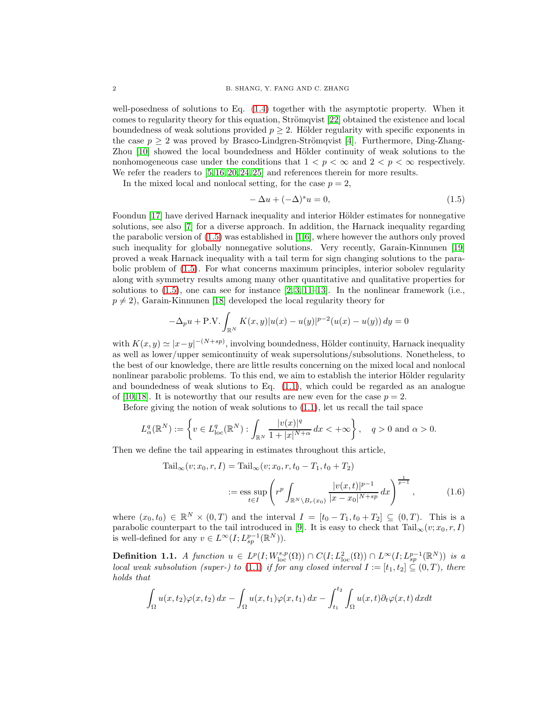well-posedness of solutions to Eq. [\(1.4\)](#page-0-0) together with the asymptotic property. When it comes to regularity theory for this equation, Strömqvist [\[22\]](#page-24-3) obtained the existence and local boundedness of weak solutions provided  $p \geq 2$ . Hölder regularity with specific exponents in the case  $p \geq 2$  was proved by Brasco-Lindgren-Strömqvist [\[4\]](#page-23-0). Furthermore, Ding-Zhang-Zhou [\[10\]](#page-23-1) showed the local boundedness and Hölder continuity of weak solutions to the nonhomogeneous case under the conditions that  $1 < p < \infty$  and  $2 < p < \infty$  respectively. We refer the readers to  $\left[5, 16, 20, 24, 25\right]$  $\left[5, 16, 20, 24, 25\right]$  $\left[5, 16, 20, 24, 25\right]$  $\left[5, 16, 20, 24, 25\right]$  $\left[5, 16, 20, 24, 25\right]$  and references therein for more results.

In the mixed local and nonlocal setting, for the case  $p = 2$ ,

<span id="page-1-0"></span>
$$
-\Delta u + (-\Delta)^s u = 0,\tag{1.5}
$$

Foondun [\[17\]](#page-24-8) have derived Harnack inequality and interior Hölder estimates for nonnegative solutions, see also [\[7\]](#page-23-3) for a diverse approach. In addition, the Harnack inequality regarding the parabolic version of [\(1.5\)](#page-1-0) was established in [\[1,](#page-23-4)[6\]](#page-23-5), where however the authors only proved such inequality for globally nonnegative solutions. Very recently, Garain-Kinnunen [\[19\]](#page-24-9) proved a weak Harnack inequality with a tail term for sign changing solutions to the parabolic problem of [\(1.5\)](#page-1-0). For what concerns maximum principles, interior sobolev regularity along with symmetry results among many other quantitative and qualitative properties for solutions to  $(1.5)$ , one can see for instance  $[2, 3, 11-13]$  $[2, 3, 11-13]$  $[2, 3, 11-13]$  $[2, 3, 11-13]$ . In the nonlinear framework (i.e.,  $p \neq 2$ , Garain-Kinnunen [\[18\]](#page-24-10) developed the local regularity theory for

$$
-\Delta_p u + P.V. \int_{\mathbb{R}^N} K(x, y) |u(x) - u(y)|^{p-2} (u(x) - u(y)) dy = 0
$$

with  $K(x, y) \simeq |x-y|^{-(N+sp)}$ , involving boundedness, Hölder continuity, Harnack inequality as well as lower/upper semicontinuity of weak supersolutions/subsolutions. Nonetheless, to the best of our knowledge, there are little results concerning on the mixed local and nonlocal nonlinear parabolic problems. To this end, we aim to establish the interior Hölder regularity and boundedness of weak slutions to Eq. [\(1.1\)](#page-0-1), which could be regarded as an analogue of [\[10,](#page-23-1) [18\]](#page-24-10). It is noteworthy that our results are new even for the case  $p = 2$ .

Before giving the notion of weak solutions to  $(1.1)$ , let us recall the tail space

$$
L^q_\alpha(\mathbb{R}^N):=\left\{v\in L^q_{\rm loc}(\mathbb{R}^N): \int_{\mathbb{R}^N}\frac{|v(x)|^q}{1+|x|^{N+\alpha}}\,dx<+\infty\right\},\quad q>0\,\,\text{and}\,\,\alpha>0.
$$

Then we define the tail appearing in estimates throughout this article,

$$
Tail_{\infty}(v; x_0, r, I) = Tail_{\infty}(v; x_0, r, t_0 - T_1, t_0 + T_2)
$$
  
 := 
$$
ess \sup_{t \in I} \left( r^p \int_{\mathbb{R}^N \setminus B_r(x_0)} \frac{|v(x, t)|^{p-1}}{|x - x_0|^{N + sp}} dx \right)^{\frac{1}{p-1}},
$$
 (1.6)

where  $(x_0, t_0) \in \mathbb{R}^N \times (0,T)$  and the interval  $I = [t_0 - T_1, t_0 + T_2] \subseteq (0,T)$ . This is a parabolic counterpart to the tail introduced in [\[9\]](#page-23-10). It is easy to check that  $\text{Tail}_{\infty}(v; x_0, r, I)$ is well-defined for any  $v \in L^{\infty}(I; L^{p-1}_{sp}(\mathbb{R}^N)).$ 

**Definition 1.1.** A function  $u \in L^p(I; W^{s,p}_{loc}(\Omega)) \cap C(I; L^2_{loc}(\Omega)) \cap L^{\infty}(I; L^{p-1}_{sp}(\mathbb{R}^N))$  is a local weak subsolution (super-) to [\(1.1\)](#page-0-1) if for any closed interval  $I := [t_1, t_2] \subseteq (0, T)$ , there holds that

$$
\int_{\Omega} u(x,t_2)\varphi(x,t_2) dx - \int_{\Omega} u(x,t_1)\varphi(x,t_1) dx - \int_{t_1}^{t_2} \int_{\Omega} u(x,t)\partial_t \varphi(x,t) dx dt
$$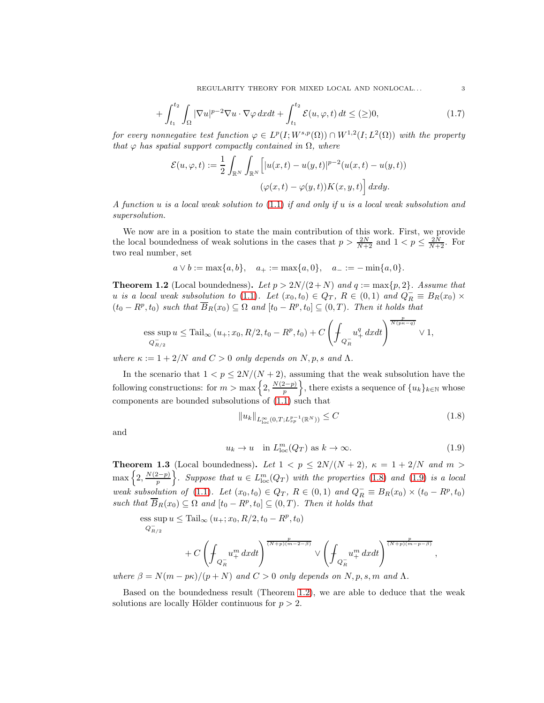REGULARITY THEORY FOR MIXED LOCAL AND NONLOCAL...  $\hspace{2cm} 3$ 

$$
+\int_{t_1}^{t_2} \int_{\Omega} |\nabla u|^{p-2} \nabla u \cdot \nabla \varphi \, dxdt + \int_{t_1}^{t_2} \mathcal{E}(u, \varphi, t) \, dt \le (\ge) 0,\tag{1.7}
$$

for every nonnegative test function  $\varphi \in L^p(I;W^{s,p}(\Omega)) \cap W^{1,2}(I;L^2(\Omega))$  with the property that  $\varphi$  has spatial support compactly contained in  $\Omega$ , where

$$
\mathcal{E}(u,\varphi,t) := \frac{1}{2} \int_{\mathbb{R}^N} \int_{\mathbb{R}^N} \left[ |u(x,t) - u(y,t)|^{p-2} (u(x,t) - u(y,t)) \right. \tag{9.1}
$$
\n
$$
(\varphi(x,t) - \varphi(y,t)) K(x,y,t) \right] dx dy.
$$

A function  $u$  is a local weak solution to  $(1.1)$  if and only if  $u$  is a local weak subsolution and supersolution.

We now are in a position to state the main contribution of this work. First, we provide the local boundedness of weak solutions in the cases that  $p > \frac{2N}{N+2}$  and  $1 < p \le \frac{2N}{N+2}$ . For two real number, set

$$
a \lor b := \max\{a, b\}, \quad a_+ := \max\{a, 0\}, \quad a_- := -\min\{a, 0\}.
$$

<span id="page-2-2"></span>**Theorem 1.2** (Local boundedness). Let  $p > 2N/(2+N)$  and  $q := max\{p, 2\}$ . Assume that u is a local weak subsolution to [\(1.1\)](#page-0-1). Let  $(x_0, t_0) \in Q_T$ ,  $R \in (0, 1)$  and  $Q_R^- \equiv B_R(x_0) \times$  $(t_0 - R^p, t_0)$  such that  $\overline{B}_R(x_0) \subseteq \Omega$  and  $[t_0 - R^p, t_0] \subseteq (0, T)$ . Then it holds that

$$
\text{ess}\sup_{Q_{R/2}^-} u \leq \text{Tail}_{\infty} \left( u_+; x_0, R/2, t_0 - R^p, t_0 \right) + C \left( \int_{Q_R^-} u_+^q \, dxdt \right)^{\frac{p}{N(p\kappa-q)}} \vee 1,
$$

where  $\kappa := 1 + 2/N$  and  $C > 0$  only depends on N, p, s and  $\Lambda$ .

In the scenario that  $1 < p \leq 2N/(N+2)$ , assuming that the weak subsolution have the following constructions: for  $m > \max\left\{2, \frac{N(2-p)}{n}\right\}$  $\left\{\frac{2-p}{p}\right\}$ , there exists a sequence of  $\{u_k\}_{k\in\mathbb{N}}$  whose components are bounded subsolutions of [\(1.1\)](#page-0-1) such that

$$
||u_k||_{L^{\infty}_{\text{loc}}(0,T;L^{p-1}_{sp}(\mathbb{R}^N))} \leq C \tag{1.8}
$$

<span id="page-2-1"></span><span id="page-2-0"></span>,

and

$$
u_k \to u \quad \text{in } L_{\text{loc}}^m(Q_T) \text{ as } k \to \infty. \tag{1.9}
$$

<span id="page-2-3"></span>**Theorem 1.3** (Local boundedness). Let  $1 < p \le 2N/(N+2)$ ,  $\kappa = 1 + 2/N$  and  $m >$  $\max\left\{2,\frac{N(2-p)}{n}\right\}$  $\left\{ \frac{p^2-p}{p} \right\}$ . Suppose that  $u \in L_{loc}^m(Q_T)$  with the properties [\(1.8\)](#page-2-0) and [\(1.9\)](#page-2-1) is a local weak subsolution of [\(1.1\)](#page-0-1). Let  $(x_0, t_0) \in Q_T$ ,  $R \in (0, 1)$  and  $Q_R^- \equiv B_R(x_0) \times (t_0 - R^p, t_0)$ such that  $\overline{B}_R(x_0) \subseteq \Omega$  and  $[t_0 - R^p, t_0] \subseteq (0, T)$ . Then it holds that

$$
\operatorname{ess} \sup_{Q_{R/2}^-} u \leq \operatorname{Tail}_{\infty} (u_+; x_0, R/2, t_0 - R^p, t_0)
$$
  
+ 
$$
C \left( \int_{Q_R^-} u_+^m dx dt \right)^{\frac{p}{(N+p)(m-2-\beta)}} \vee \left( \int_{Q_R^-} u_+^m dx dt \right)^{\frac{p}{(N+p)(m-p-\beta)}}
$$

where  $\beta = N(m - p\kappa)/(p + N)$  and  $C > 0$  only depends on N, p, s, m and  $\Lambda$ .

Based on the boundedness result (Theorem [1.2\)](#page-2-2), we are able to deduce that the weak solutions are locally Hölder continuous for  $p > 2$ .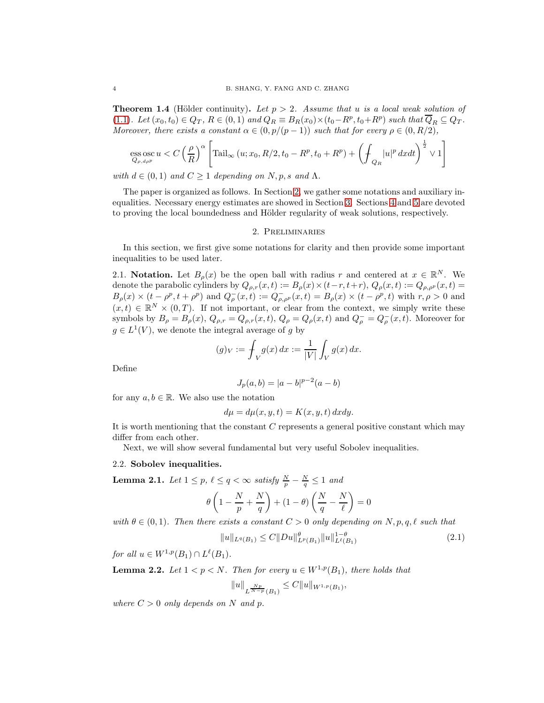<span id="page-3-3"></span>**Theorem 1.4** (Hölder continuity). Let  $p > 2$ . Assume that u is a local weak solution of [\(1.1\)](#page-0-1). Let  $(x_0, t_0) \in Q_T$ ,  $R \in (0, 1)$  and  $Q_R \equiv B_R(x_0) \times (t_0 - R^p, t_0 + R^p)$  such that  $\overline{Q}_R \subseteq Q_T$ . Moreover, there exists a constant  $\alpha \in (0, p/(p-1))$  such that for every  $\rho \in (0, R/2)$ ,

ess 
$$
\operatorname{osc}_{Q_{\rho,d\rho^p}} u < C \left(\frac{\rho}{R}\right)^{\alpha} \left[ \operatorname{Tail}_{\infty} (u; x_0, R/2, t_0 - R^p, t_0 + R^p) + \left( \int_{Q_R} |u|^p \, dxdt \right)^{\frac{1}{2}} \vee 1 \right]
$$

with  $d \in (0,1)$  and  $C \geq 1$  depending on N, p, s and  $\Lambda$ .

The paper is organized as follows. In Section [2,](#page-3-0) we gather some notations and auxiliary inequalities. Necessary energy estimates are showed in Section [3.](#page-6-0) Sections [4](#page-10-0) and [5](#page-17-0) are devoted to proving the local boundedness and Hölder regularity of weak solutions, respectively.

### 2. Preliminaries

<span id="page-3-0"></span>In this section, we first give some notations for clarity and then provide some important inequalities to be used later.

2.1. Notation. Let  $B_\rho(x)$  be the open ball with radius r and centered at  $x \in \mathbb{R}^N$ . We denote the parabolic cylinders by  $Q_{\rho,r}(x,t) := B_{\rho}(x) \times (t-r,t+r)$ ,  $Q_{\rho}(x,t) := Q_{\rho,\rho^p}(x,t)$  $B_{\rho}(x) \times (t - \rho^p, t + \rho^p)$  and  $Q_{\rho}^-(x,t) := Q_{\rho,\rho^p}^-(x,t) = B_{\rho}(x) \times (t - \rho^p, t)$  with  $r, \rho > 0$  and  $(x,t) \in \mathbb{R}^N \times (0,T)$ . If not important, or clear from the context, we simply write these symbols by  $B_{\rho} = B_{\rho}(x)$ ,  $Q_{\rho,r} = Q_{\rho,r}(x,t)$ ,  $Q_{\rho} = Q_{\rho}(x,t)$  and  $Q_{\rho}^- = Q_{\rho}^-(x,t)$ . Moreover for  $g \in L^1(V)$ , we denote the integral average of g by

$$
(g)_V := \int_V g(x) \, dx := \frac{1}{|V|} \int_V g(x) \, dx.
$$

Define

$$
J_p(a, b) = |a - b|^{p-2}(a - b)
$$

for any  $a, b \in \mathbb{R}$ . We also use the notation

$$
d\mu = d\mu(x, y, t) = K(x, y, t) dx dy.
$$

It is worth mentioning that the constant  $C$  represents a general positive constant which may differ from each other.

Next, we will show several fundamental but very useful Sobolev inequalities.

## 2.2. Sobolev inequalities.

<span id="page-3-2"></span>**Lemma 2.1.** Let  $1 \leq p$ ,  $\ell \leq q < \infty$  satisfy  $\frac{N}{p} - \frac{N}{q} \leq 1$  and

$$
\theta \left( 1 - \frac{N}{p} + \frac{N}{q} \right) + (1 - \theta) \left( \frac{N}{q} - \frac{N}{\ell} \right) = 0
$$

with  $\theta \in (0,1)$ . Then there exists a constant  $C > 0$  only depending on N, p, q,  $\ell$  such that

$$
||u||_{L^{q}(B_1)} \leq C||Du||_{L^{p}(B_1)}^{\theta}||u||_{L^{\ell}(B_1)}^{1-\theta}
$$
\n(2.1)

for all  $u \in W^{1,p}(B_1) \cap L^{\ell}(B_1)$ .

<span id="page-3-1"></span>**Lemma 2.2.** Let  $1 < p < N$ . Then for every  $u \in W^{1,p}(B_1)$ , there holds that

$$
||u||_{L^{\frac{Np}{N-p}}(B_1)} \leq C||u||_{W^{1,p}(B_1)},
$$

where  $C > 0$  only depends on N and p.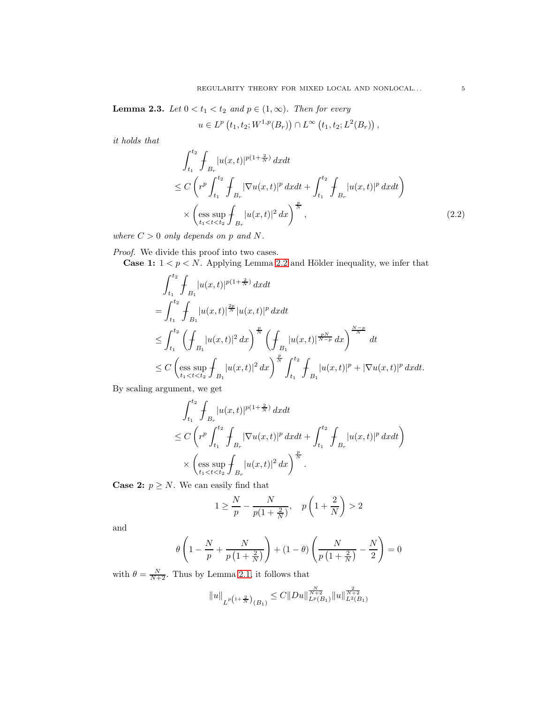<span id="page-4-0"></span>**Lemma 2.3.** Let  $0 < t_1 < t_2$  and  $p \in (1, \infty)$ . Then for every

$$
u \in L^p
$$
  $(t_1, t_2; W^{1,p}(B_r)) \cap L^{\infty} (t_1, t_2; L^2(B_r)),$ 

it holds that

$$
\int_{t_1}^{t_2} \int_{B_r} |u(x,t)|^{p(1+\frac{2}{N})} dx dt
$$
\n
$$
\leq C \left( r^p \int_{t_1}^{t_2} \int_{B_r} |\nabla u(x,t)|^p dx dt + \int_{t_1}^{t_2} \int_{B_r} |u(x,t)|^p dx dt \right)
$$
\n
$$
\times \left( \underset{t_1 < t < t_2}{\text{ess sup}} \int_{B_r} |u(x,t)|^2 dx \right)^{\frac{p}{N}}, \tag{2.2}
$$

where  $C > 0$  only depends on p and N.

Proof. We divide this proof into two cases. **Case 1:**  $1 < p < N$ . Applying Lemma [2.2](#page-3-1) and Hölder inequality, we infer that

$$
\int_{t_1}^{t_2} \int_{B_1} |u(x,t)|^{p(1+\frac{2}{N})} dx dt
$$
\n
$$
= \int_{t_1}^{t_2} \int_{B_1} |u(x,t)|^{\frac{2p}{N}} |u(x,t)|^p dx dt
$$
\n
$$
\leq \int_{t_1}^{t_2} \left( \int_{B_1} |u(x,t)|^2 dx \right)^{\frac{p}{N}} \left( \int_{B_1} |u(x,t)|^{\frac{pN}{N-p}} dx \right)^{\frac{N-p}{N}} dt
$$
\n
$$
\leq C \left( \underset{t_1 < t < t_2}{\text{ess sup}} \int_{B_1} |u(x,t)|^2 dx \right)^{\frac{p}{N}} \int_{t_1}^{t_2} \int_{B_1} |u(x,t)|^p + |\nabla u(x,t)|^p dx dt.
$$

By scaling argument, we get

$$
\int_{t_1}^{t_2} \int_{B_r} |u(x,t)|^{p(1+\frac{2}{N})} dx dt
$$
\n
$$
\leq C \left( r^p \int_{t_1}^{t_2} \int_{B_r} |\nabla u(x,t)|^p dx dt + \int_{t_1}^{t_2} \int_{B_r} |u(x,t)|^p dx dt \right)
$$
\n
$$
\times \left( \underset{t_1 < t < t_2}{\text{ess sup}} \int_{B_r} |u(x,t)|^2 dx \right)^{\frac{p}{N}}.
$$

**Case 2:**  $p \geq N$ . We can easily find that

$$
1 \ge \frac{N}{p} - \frac{N}{p(1 + \frac{2}{N})}, \quad p\left(1 + \frac{2}{N}\right) > 2
$$

and

$$
\theta \left( 1 - \frac{N}{p} + \frac{N}{p(1 + \frac{2}{N})} \right) + (1 - \theta) \left( \frac{N}{p(1 + \frac{2}{N})} - \frac{N}{2} \right) = 0
$$

with  $\theta = \frac{N}{N+2}$ . Thus by Lemma [2.1,](#page-3-2) it follows that

$$
||u||_{L^{p\left(1+\frac{2}{N}\right)}(B_1)} \leq C||Du||_{L^{p}(B_1)}^{\frac{N}{N+2}}||u||_{L^{2}(B_1)}^{\frac{2}{N+2}}
$$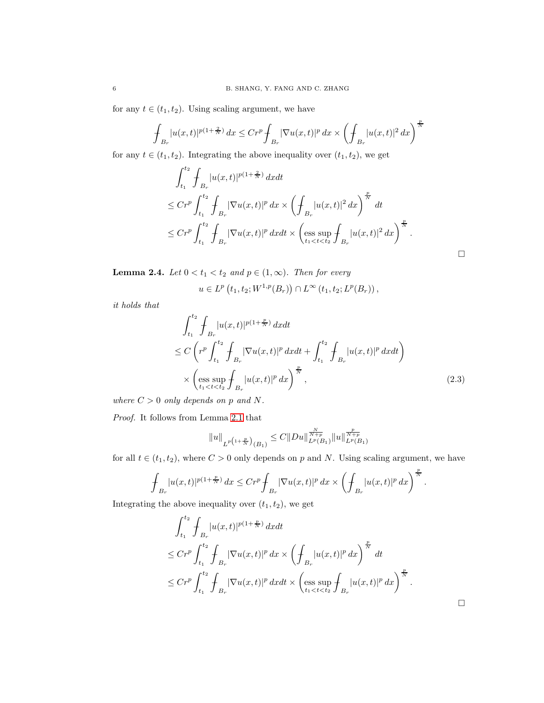for any  $t \in (t_1, t_2)$ . Using scaling argument, we have

$$
\int_{B_r} |u(x,t)|^{p(1+\frac{2}{N})} dx \le Cr^p \int_{B_r} |\nabla u(x,t)|^p dx \times \left(\int_{B_r} |u(x,t)|^2 dx\right)^{\frac{p}{N}}
$$

for any  $t \in (t_1, t_2)$ . Integrating the above inequality over  $(t_1, t_2)$ , we get

$$
\int_{t_1}^{t_2} \int_{B_r} |u(x,t)|^{p(1+\frac{2}{N})} dx dt
$$
\n
$$
\leq C r^p \int_{t_1}^{t_2} \int_{B_r} |\nabla u(x,t)|^p dx \times \left( \int_{B_r} |u(x,t)|^2 dx \right)^{\frac{p}{N}} dt
$$
\n
$$
\leq C r^p \int_{t_1}^{t_2} \int_{B_r} |\nabla u(x,t)|^p dx dt \times \left( \underset{t_1 < t < t_2}{\text{ess sup}} \int_{B_r} |u(x,t)|^2 dx \right)^{\frac{p}{N}}.
$$

 $\Box$ 

<span id="page-5-0"></span>**Lemma 2.4.** Let  $0 < t_1 < t_2$  and  $p \in (1, \infty)$ . Then for every

$$
u \in L^p(t_1, t_2; W^{1,p}(B_r)) \cap L^{\infty}(t_1, t_2; L^p(B_r)),
$$

it holds that

$$
\int_{t_1}^{t_2} \int_{B_r} |u(x,t)|^{p(1+\frac{p}{N})} dx dt
$$
\n
$$
\leq C \left( r^p \int_{t_1}^{t_2} \int_{B_r} |\nabla u(x,t)|^p dx dt + \int_{t_1}^{t_2} \int_{B_r} |u(x,t)|^p dx dt \right)
$$
\n
$$
\times \left( \underset{t_1 < t < t_2}{\text{ess sup}} \int_{B_r} |u(x,t)|^p dx \right)^{\frac{p}{N}}, \tag{2.3}
$$

where  $C > 0$  only depends on p and N.

Proof. It follows from Lemma [2.1](#page-3-2) that

$$
||u||_{L^p(1+\frac{p}{N})}(B_1)} \leq C||Du||_{L^p(B_1)}^{\frac{N}{N+p}}||u||_{L^p(B_1)}^{\frac{p}{N+p}}
$$

for all  $t \in (t_1, t_2)$ , where  $C > 0$  only depends on p and N. Using scaling argument, we have

$$
\mathop{\hbox{\rlap{$\not$}}\int}_{B_r} |u(x,t)|^{p(1+\frac{p}{N})}\,dx \leq Cr^p \mathop{\rlap{$\not$}}\nolimits_{B_r} |\nabla u(x,t)|^p\,dx \times \left(\mathop{\rlap{$\not$}}\nolimits_{B_r} |u(x,t)|^p\,dx\right)^{\frac{p}{N}}.
$$

Integrating the above inequality over  $(t_1, t_2)$ , we get

$$
\int_{t_1}^{t_2} \int_{B_r} |u(x,t)|^{p(1+\frac{p}{N})} dx dt
$$
\n
$$
\leq C r^p \int_{t_1}^{t_2} \int_{B_r} |\nabla u(x,t)|^p dx \times \left( \int_{B_r} |u(x,t)|^p dx \right)^{\frac{p}{N}} dt
$$
\n
$$
\leq C r^p \int_{t_1}^{t_2} \int_{B_r} |\nabla u(x,t)|^p dx dt \times \left( \underset{t_1 < t < t_2}{\text{ess sup}} \int_{B_r} |u(x,t)|^p dx \right)^{\frac{p}{N}}.
$$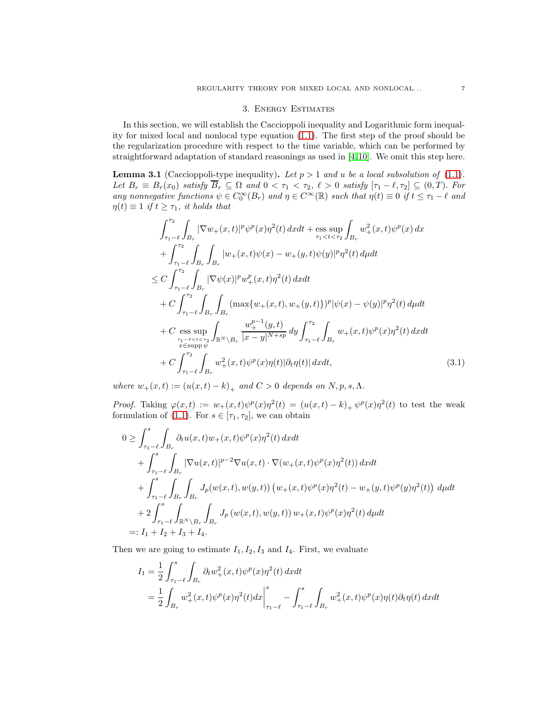## 3. Energy Estimates

<span id="page-6-0"></span>In this section, we will establish the Caccioppoli inequality and Logarithmic form inequality for mixed local and nonlocal type equation [\(1.1\)](#page-0-1). The first step of the proof should be the regularization procedure with respect to the time variable, which can be performed by straightforward adaptation of standard reasonings as used in [\[4,](#page-23-0)[10\]](#page-23-1). We omit this step here.

<span id="page-6-1"></span>**Lemma 3.1** (Caccioppoli-type inequality). Let  $p > 1$  and u be a local subsolution of [\(1.1\)](#page-0-1). Let  $B_r \equiv B_r(x_0)$  satisfy  $\overline{B}_r \subseteq \Omega$  and  $0 < \tau_1 < \tau_2$ ,  $\ell > 0$  satisfy  $[\tau_1 - \ell, \tau_2] \subseteq (0, T)$ . For any nonnegative functions  $\psi \in C_0^{\infty}(B_r)$  and  $\eta \in C^{\infty}(\mathbb{R})$  such that  $\eta(t) \equiv 0$  if  $t \leq \tau_1 - \ell$  and  $\eta(t) \equiv 1$  if  $t \geq \tau_1$ , it holds that

$$
\int_{\tau_1-\ell}^{\tau_2} \int_{B_r} |\nabla w_+(x,t)|^p \psi^p(x) \eta^2(t) dx dt + \underset{\tau_1 < t < \tau_2}{\text{ess sup}} \int_{B_r} w_+^2(x,t) \psi^p(x) dx \n+ \int_{\tau_1-\ell}^{\tau_2} \int_{B_r} \int_{B_r} |w_+(x,t) \psi(x) - w_+(y,t) \psi(y)|^p \eta^2(t) d\mu dt \n\leq C \int_{\tau_1-\ell}^{\tau_2} \int_{B_r} |\nabla \psi(x)|^p w_+^p(x,t) \eta^2(t) dx dt \n+ C \int_{\tau_1-\ell}^{\tau_2} \int_{B_r} \int_{B_r} (\max\{w_+(x,t), w_+(y,t)\})^p |\psi(x) - \psi(y)|^p \eta^2(t) d\mu dt \n+ C \underset{\tau_1-\ell < t < \tau_2}{\text{ess sup}} \int_{\mathbb{R}^N \setminus B_r} \frac{w_+^{p-1}(y,t)}{|x-y|^{N+sp}} dy \int_{\tau_1-\ell}^{\tau_2} \int_{B_r} w_+(x,t) \psi^p(x) \eta^2(t) dx dt \n+ C \int_{\tau_1-\ell}^{\tau_2} \int_{B_r} w_+^2(x,t) \psi^p(x) \eta(t) |\partial_t \eta(t)| dx dt, \tag{3.1}
$$

where  $w_+(x,t) := (u(x,t) - k)_+$  and  $C > 0$  depends on  $N, p, s, \Lambda$ .

*Proof.* Taking  $\varphi(x,t) := w_+(x,t)\psi^p(x)\eta^2(t) = (u(x,t) - k)_+ \psi^p(x)\eta^2(t)$  to test the weak formulation of [\(1.1\)](#page-0-1). For  $s \in [\tau_1, \tau_2]$ , we can obtain

$$
0 \geq \int_{\tau_1 - \ell}^s \int_{B_r} \partial_t u(x, t) w_+(x, t) \psi^p(x) \eta^2(t) dx dt + \int_{\tau_1 - \ell}^s \int_{B_r} |\nabla u(x, t)|^{p-2} \nabla u(x, t) \cdot \nabla (w_+(x, t) \psi^p(x) \eta^2(t)) dx dt + \int_{\tau_1 - \ell}^s \int_{B_r} \int_{B_r} J_p(w(x, t), w(y, t)) (w_+(x, t) \psi^p(x) \eta^2(t) - w_+(y, t) \psi^p(y) \eta^2(t)) d\mu dt + 2 \int_{\tau_1 - \ell}^s \int_{\mathbb{R}^N \setminus B_r} \int_{B_r} J_p(w(x, t), w(y, t)) w_+(x, t) \psi^p(x) \eta^2(t) d\mu dt =: I_1 + I_2 + I_3 + I_4.
$$

Then we are going to estimate  $I_1, I_2, I_3$  and  $I_4$ . First, we evaluate

$$
I_1 = \frac{1}{2} \int_{\tau_1 - \ell}^s \int_{B_r} \partial_t w_+^2(x, t) \psi^p(x) \eta^2(t) dx dt
$$
  
= 
$$
\frac{1}{2} \int_{B_r} w_+^2(x, t) \psi^p(x) \eta^2(t) dx \Big|_{\tau_1 - \ell}^s - \int_{\tau_1 - \ell}^s \int_{B_r} w_+^2(x, t) \psi^p(x) \eta(t) \partial_t \eta(t) dx dt
$$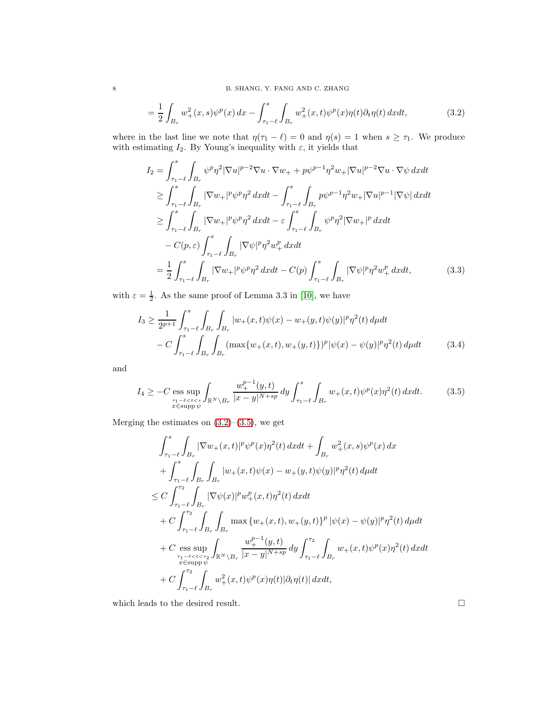<span id="page-7-0"></span>
$$
= \frac{1}{2} \int_{B_r} w_+^2(x,s) \psi^p(x) \, dx - \int_{\tau_1 - \ell}^s \int_{B_r} w_+^2(x,t) \psi^p(x) \eta(t) \partial_t \eta(t) \, dx dt, \tag{3.2}
$$

where in the last line we note that  $\eta(\tau_1 - \ell) = 0$  and  $\eta(s) = 1$  when  $s \geq \tau_1$ . We produce with estimating  $I_2$ . By Young's inequality with  $\varepsilon$ , it yields that

$$
I_{2} = \int_{\tau_{1}-\ell}^{s} \int_{B_{r}} \psi^{p} \eta^{2} |\nabla u|^{p-2} \nabla u \cdot \nabla w_{+} + p\psi^{p-1} \eta^{2} w_{+} |\nabla u|^{p-2} \nabla u \cdot \nabla \psi \, dxdt
$$
  
\n
$$
\geq \int_{\tau_{1}-\ell}^{s} \int_{B_{r}} |\nabla w_{+}|^{p} \psi^{p} \eta^{2} \, dxdt - \int_{\tau_{1}-\ell}^{s} \int_{B_{r}} p\psi^{p-1} \eta^{2} w_{+} |\nabla u|^{p-1} |\nabla \psi| \, dxdt
$$
  
\n
$$
\geq \int_{\tau_{1}-\ell}^{s} \int_{B_{r}} |\nabla w_{+}|^{p} \psi^{p} \eta^{2} \, dxdt - \varepsilon \int_{\tau_{1}-\ell}^{s} \int_{B_{r}} \psi^{p} \eta^{2} |\nabla w_{+}|^{p} \, dxdt
$$
  
\n
$$
- C(p, \varepsilon) \int_{\tau_{1}-\ell}^{s} \int_{B_{r}} |\nabla \psi|^{p} \eta^{2} w_{+}^{p} \, dxdt
$$
  
\n
$$
= \frac{1}{2} \int_{\tau_{1}-\ell}^{s} \int_{B_{r}} |\nabla w_{+}|^{p} \psi^{p} \eta^{2} \, dxdt - C(p) \int_{\tau_{1}-\ell}^{s} \int_{B_{r}} |\nabla \psi|^{p} \eta^{2} w_{+}^{p} \, dxdt, \qquad (3.3)
$$

with  $\varepsilon = \frac{1}{2}$ . As the same proof of Lemma 3.3 in [\[10\]](#page-23-1), we have

$$
I_3 \ge \frac{1}{2^{p+1}} \int_{\tau_1 - \ell}^s \int_{B_r} \int_{B_r} |w_+(x, t)\psi(x) - w_+(y, t)\psi(y)|^p \eta^2(t) \, d\mu dt
$$
  
-  $C \int_{\tau_1 - \ell}^s \int_{B_r} \int_{B_r} (\max\{w_+(x, t), w_+(y, t)\})^p |\psi(x) - \psi(y)|^p \eta^2(t) \, d\mu dt$  (3.4)

and

$$
I_4 \ge -C \underset{x_1 - \ell < t < s}{\text{ess sup}} \int_{\mathbb{R}^N \setminus B_r} \frac{w_+^{p-1}(y, t)}{|x - y|^{N + sp}} \, dy \int_{\tau_1 - \ell}^s \int_{B_r} w_+(x, t) \psi^p(x) \eta^2(t) \, dx dt. \tag{3.5}
$$

Merging the estimates on  $(3.2)$ – $(3.5)$ , we get

$$
\int_{\tau_1-\ell}^s \int_{B_r} |\nabla w_+(x,t)|^p \psi^p(x) \eta^2(t) dx dt + \int_{B_r} w_+^2(x,s) \psi^p(x) dx \n+ \int_{\tau_1-\ell}^s \int_{B_r} \int_{B_r} |w_+(x,t) \psi(x) - w_+(y,t) \psi(y)|^p \eta^2(t) d\mu dt \n\leq C \int_{\tau_1-\ell}^{\tau_2} \int_{B_r} |\nabla \psi(x)|^p w_+^p(x,t) \eta^2(t) dx dt \n+ C \int_{\tau_1-\ell}^{\tau_2} \int_{B_r} \int_{B_r} \max \{w_+(x,t), w_+(y,t)\}^p |\psi(x) - \psi(y)|^p \eta^2(t) d\mu dt \n+ C \underset{x \in \text{supp }\psi}{\text{ess sup}} \int_{B_r} \frac{w_+^{p-1}(y,t)}{|x-y|^{N+sp}} dy \int_{\tau_1-\ell}^{\tau_2} \int_{B_r} w_+(x,t) \psi^p(x) \eta^2(t) dx dt \n+ C \int_{\tau_1-\ell}^{\tau_2} \int_{B_r} w_+^2(x,t) \psi^p(x) \eta(t) |\partial_t \eta(t)| dx dt,
$$

which leads to the desired result.  $\hfill \square$ 

<span id="page-7-1"></span>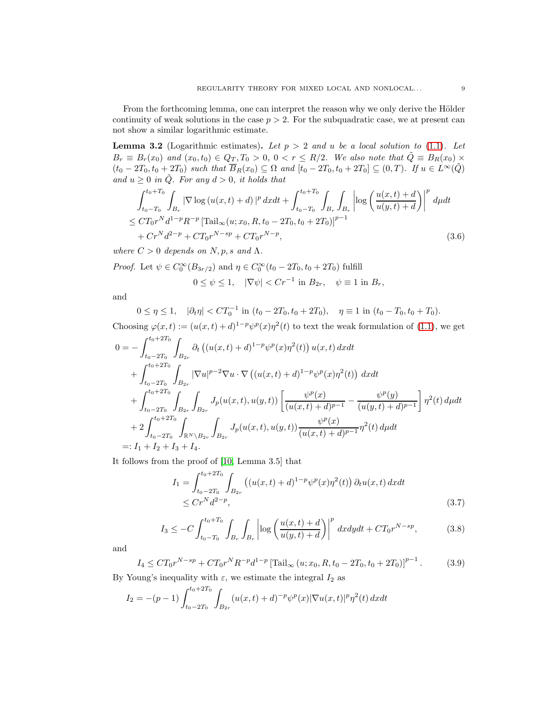From the forthcoming lemma, one can interpret the reason why we only derive the Hölder continuity of weak solutions in the case  $p > 2$ . For the subquadratic case, we at present can not show a similar logarithmic estimate.

<span id="page-8-1"></span>**Lemma 3.2** (Logarithmic estimates). Let  $p > 2$  and u be a local solution to [\(1.1\)](#page-0-1). Let  $B_r \equiv B_r(x_0)$  and  $(x_0, t_0) \in Q_T, T_0 > 0, 0 < r \le R/2$ . We also note that  $\tilde{Q} \equiv B_R(x_0) \times$  $(t_0 - 2T_0, t_0 + 2T_0)$  such that  $\overline{B}_R(x_0) \subseteq \Omega$  and  $[t_0 - 2T_0, t_0 + 2T_0] \subseteq (0, T)$ . If  $u \in L^{\infty}(\tilde{Q})$ and  $u \geq 0$  in  $\hat{Q}$ . For any  $d > 0$ , it holds that

$$
\int_{t_0-T_0}^{t_0+T_0} \int_{B_r} |\nabla \log (u(x,t) + d) |^p dx dt + \int_{t_0-T_0}^{t_0+T_0} \int_{B_r} \int_{B_r} \left| \log \left( \frac{u(x,t) + d}{u(y,t) + d} \right) \right|^p d\mu dt
$$
  
\n
$$
\leq CT_0 r^N d^{1-p} R^{-p} \left[ \text{Tail}_{\infty}(u; x_0, R, t_0 - 2T_0, t_0 + 2T_0) \right]^{p-1}
$$
  
\n
$$
+ Cr^N d^{2-p} + CT_0 r^{N-sp} + CT_0 r^{N-p},
$$
\n(3.6)

where  $C > 0$  depends on N, p, s and  $\Lambda$ .

*Proof.* Let 
$$
\psi \in C_0^{\infty}(B_{3r/2})
$$
 and  $\eta \in C_0^{\infty}(t_0 - 2T_0, t_0 + 2T_0)$  fulfill  
 $0 \le \psi \le 1$ ,  $|\nabla \psi| < Cr^{-1}$  in  $B_{2r}$ ,  $\psi \equiv 1$  in  $B_r$ ,

and

$$
0 \le \eta \le 1, \quad |\partial_t \eta| < CT_0^{-1} \text{ in } (t_0 - 2T_0, t_0 + 2T_0), \quad \eta \equiv 1 \text{ in } (t_0 - T_0, t_0 + T_0).
$$

Choosing  $\varphi(x,t) := (u(x,t) + d)^{1-p} \psi^p(x) \eta^2(t)$  to text the weak formulation of [\(1.1\)](#page-0-1), we get  $\int_0^{t_0+2T_0}$ 

$$
0 = -\int_{t_0 - 2T_0} \int_{B_{2r}} \partial_t \left( (u(x, t) + d)^{1-p} \psi^p(x) \eta^2(t) \right) u(x, t) dx dt + \int_{t_0 - 2T_0}^{t_0 + 2T_0} \int_{B_{2r}} |\nabla u|^{p-2} \nabla u \cdot \nabla \left( (u(x, t) + d)^{1-p} \psi^p(x) \eta^2(t) \right) dx dt + \int_{t_0 - 2T_0}^{t_0 + 2T_0} \int_{B_{2r}} \int_{B_{2r}} J_p(u(x, t), u(y, t)) \left[ \frac{\psi^p(x)}{(u(x, t) + d)^{p-1}} - \frac{\psi^p(y)}{(u(y, t) + d)^{p-1}} \right] \eta^2(t) d\mu dt + 2 \int_{t_0 - 2T_0}^{t_0 + 2T_0} \int_{\mathbb{R}^N \backslash B_{2r}} \int_{B_{2r}} J_p(u(x, t), u(y, t)) \frac{\psi^p(x)}{(u(x, t) + d)^{p-1}} \eta^2(t) d\mu dt =: I_1 + I_2 + I_3 + I_4.
$$

It follows from the proof of [\[10,](#page-23-1) Lemma 3.5] that

<span id="page-8-0"></span>
$$
I_1 = \int_{t_0 - 2T_0}^{t_0 + 2T_0} \int_{B_{2r}} \left( (u(x, t) + d)^{1 - p} \psi^p(x) \eta^2(t) \right) \partial_t u(x, t) \, dx dt
$$
  
\$\leq C r^N d^{2 - p}, \qquad (3.7)\$

$$
I_3 \le -C \int_{t_0 - T_0}^{t_0 + T_0} \int_{B_r} \int_{B_r} \left| \log \left( \frac{u(x, t) + d}{u(y, t) + d} \right) \right|^p dx dy dt + C T_0 r^{N - sp}, \tag{3.8}
$$

and

$$
I_4 \le CT_0 r^{N-sp} + CT_0 r^N R^{-p} d^{1-p} \left[ \text{Tail}_{\infty} \left( u; x_0, R, t_0 - 2T_0, t_0 + 2T_0 \right) \right]^{p-1} . \tag{3.9}
$$

By Young's inequality with  $\varepsilon$ , we estimate the integral  $I_2$  as

$$
I_2 = -(p-1) \int_{t_0-2T_0}^{t_0+2T_0} \int_{B_{2r}} (u(x,t) + d)^{-p} \psi^p(x) |\nabla u(x,t)|^p \eta^2(t) dx dt
$$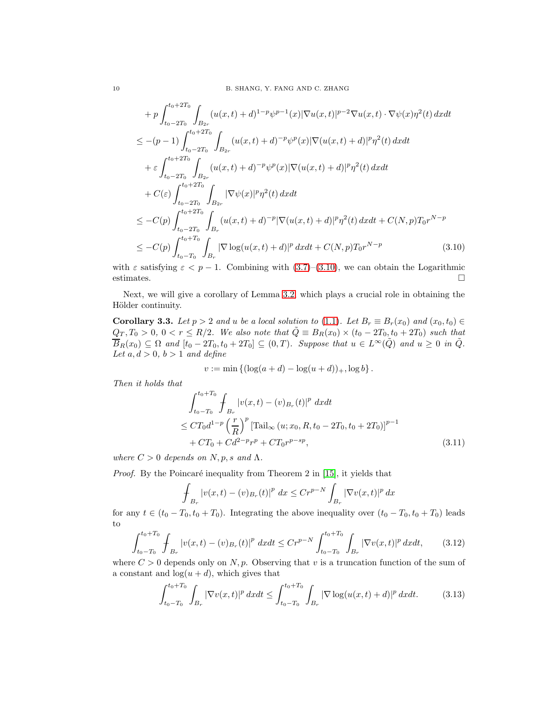$$
+ p \int_{t_0 - 2T_0}^{t_0 + 2T_0} \int_{B_{2r}} (u(x, t) + d)^{1-p} \psi^{p-1}(x) |\nabla u(x, t)|^{p-2} \nabla u(x, t) \cdot \nabla \psi(x) \eta^2(t) dx dt
$$
  
\n
$$
\leq -(p-1) \int_{t_0 - 2T_0}^{t_0 + 2T_0} \int_{B_{2r}} (u(x, t) + d)^{-p} \psi^p(x) |\nabla (u(x, t) + d)|^p \eta^2(t) dx dt
$$
  
\n
$$
+ \varepsilon \int_{t_0 - 2T_0}^{t_0 + 2T_0} \int_{B_{2r}} (u(x, t) + d)^{-p} \psi^p(x) |\nabla (u(x, t) + d)|^p \eta^2(t) dx dt
$$
  
\n
$$
+ C(\varepsilon) \int_{t_0 - 2T_0}^{t_0 + 2T_0} \int_{B_{2r}} |\nabla \psi(x)|^p \eta^2(t) dx dt
$$
  
\n
$$
\leq - C(p) \int_{t_0 - 2T_0}^{t_0 + 2T_0} \int_{B_r} (u(x, t) + d)^{-p} |\nabla (u(x, t) + d)|^p \eta^2(t) dx dt + C(N, p) T_0 r^{N-p}
$$
  
\n
$$
\leq - C(p) \int_{t_0 - T_0}^{t_0 + T_0} \int_{B_r} |\nabla \log(u(x, t) + d)|^p dx dt + C(N, p) T_0 r^{N-p}
$$
(3.10)

with  $\varepsilon$  satisfying  $\varepsilon < p - 1$ . Combining with [\(3.7\)](#page-8-0)–[\(3.10\)](#page-9-0), we can obtain the Logarithmic estimates.  $\Box$ 

Next, we will give a corollary of Lemma [3.2,](#page-8-1) which plays a crucial role in obtaining the Hölder continuity.

<span id="page-9-3"></span>Corollary 3.3. Let  $p > 2$  and u be a local solution to [\(1.1\)](#page-0-1). Let  $B_r \equiv B_r(x_0)$  and  $(x_0, t_0) \in$  $Q_T, T_0 > 0, 0 < r \le R/2$ . We also note that  $\tilde{Q} \equiv B_R(x_0) \times (t_0 - 2T_0, t_0 + 2T_0)$  such that  $\overline{B}_R(x_0) \subseteq \Omega$  and  $[t_0 - 2T_0, t_0 + 2T_0] \subseteq (0,T)$ . Suppose that  $u \in L^{\infty}(\tilde{Q})$  and  $u \geq 0$  in  $\tilde{Q}$ . Let  $a, d > 0$ ,  $b > 1$  and define

<span id="page-9-0"></span>
$$
v := \min \left\{ (\log(a+d) - \log(a+d))_+, \log b \right\}.
$$

Then it holds that

$$
\int_{t_0-T_0}^{t_0+T_0} \int_{B_r} |v(x,t) - (v)_{B_r}(t)|^p \, dx dt
$$
\n
$$
\leq C T_0 d^{1-p} \left(\frac{r}{R}\right)^p [\text{Tail}_{\infty} (u; x_0, R, t_0 - 2T_0, t_0 + 2T_0)]^{p-1}
$$
\n
$$
+ C T_0 + C d^{2-p} r^p + C T_0 r^{p-sp}, \tag{3.11}
$$

where  $C > 0$  depends on N, p, s and  $\Lambda$ .

*Proof.* By the Poincaré inequality from Theorem 2 in  $[15]$ , it yields that

<span id="page-9-2"></span><span id="page-9-1"></span>
$$
\int_{B_r} |v(x,t) - (v)_{B_r}(t)|^p dx \le Cr^{p-N} \int_{B_r} |\nabla v(x,t)|^p dx
$$

for any  $t \in (t_0 - T_0, t_0 + T_0)$ . Integrating the above inequality over  $(t_0 - T_0, t_0 + T_0)$  leads to

$$
\int_{t_0 - T_0}^{t_0 + T_0} \int_{B_r} |v(x, t) - (v)_{B_r}(t)|^p \, dx dt \leq C r^{p-N} \int_{t_0 - T_0}^{t_0 + T_0} \int_{B_r} |\nabla v(x, t)|^p \, dx dt, \tag{3.12}
$$

where  $C > 0$  depends only on  $N, p$ . Observing that v is a truncation function of the sum of a constant and  $log(u + d)$ , which gives that

$$
\int_{t_0 - T_0}^{t_0 + T_0} \int_{B_r} |\nabla v(x, t)|^p \, dx dt \le \int_{t_0 - T_0}^{t_0 + T_0} \int_{B_r} |\nabla \log(u(x, t) + d)|^p \, dx dt. \tag{3.13}
$$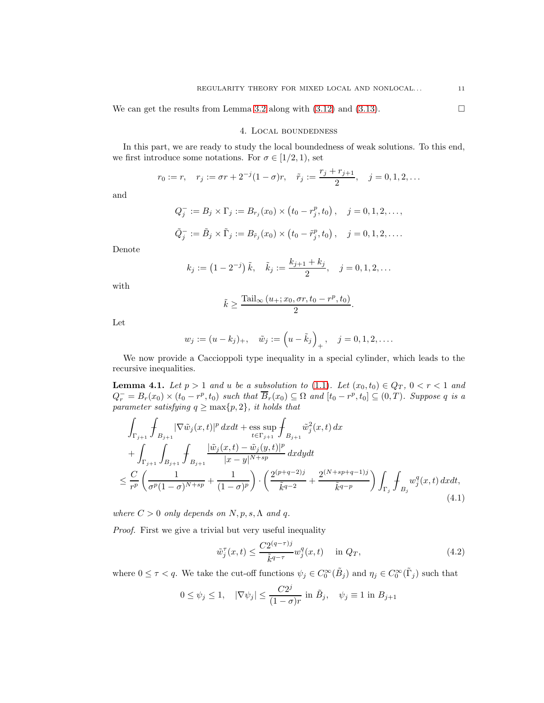<span id="page-10-0"></span>We can get the results from Lemma [3.2](#page-8-1) along with  $(3.12)$  and  $(3.13)$ .

## 4. Local boundedness

In this part, we are ready to study the local boundedness of weak solutions. To this end, we first introduce some notations. For  $\sigma \in [1/2, 1)$ , set

$$
r_0 := r
$$
,  $r_j := \sigma r + 2^{-j}(1-\sigma)r$ ,  $\tilde{r}_j := \frac{r_j + r_{j+1}}{2}$ ,  $j = 0, 1, 2, ...$ 

and

$$
Q_j^- := B_j \times \Gamma_j := B_{r_j}(x_0) \times (t_0 - r_j^p, t_0), \quad j = 0, 1, 2, \dots,
$$

$$
\tilde{Q}_j^- := \tilde{B}_j \times \tilde{\Gamma}_j := B_{\tilde{r}_j}(x_0) \times (t_0 - \tilde{r}_j^p, t_0), \quad j = 0, 1, 2, \dots
$$

Denote

$$
k_j := (1 - 2^{-j}) \tilde{k}, \quad \tilde{k}_j := \frac{k_{j+1} + k_j}{2}, \quad j = 0, 1, 2, \dots
$$

with

$$
\tilde{k} \ge \frac{\text{Tail}_{\infty} (u_{+}; x_0, \sigma r, t_0 - r^p, t_0)}{2}.
$$

Let

$$
w_j := (u - k_j)_+, \quad \tilde{w}_j := (u - \tilde{k}_j)_+, \quad j = 0, 1, 2, ....
$$

We now provide a Caccioppoli type inequality in a special cylinder, which leads to the recursive inequalities.

<span id="page-10-2"></span>**Lemma 4.1.** Let  $p > 1$  and u be a subsolution to [\(1.1\)](#page-0-1). Let  $(x_0, t_0) \in Q_T$ ,  $0 < r < 1$  and  $Q_r^- = B_r(x_0) \times (t_0 - r^p, t_0)$  such that  $\overline{B}_r(x_0) \subseteq \Omega$  and  $[t_0 - r^p, t_0] \subseteq (0, T)$ . Suppose q is a parameter satisfying  $q \geq \max\{p, 2\}$ , it holds that

$$
\int_{\Gamma_{j+1}} \int_{B_{j+1}} |\nabla \tilde{w}_j(x,t)|^p \, dxdt + \underset{t \in \Gamma_{j+1}}{\text{ess sup}} \int_{B_{j+1}} \tilde{w}_j^2(x,t) \, dx \n+ \int_{\Gamma_{j+1}} \int_{B_{j+1}} \int_{B_{j+1}} \frac{|\tilde{w}_j(x,t) - \tilde{w}_j(y,t)|^p}{|x - y|^{N+sp}} \, dxdydt \n\leq \frac{C}{r^p} \left( \frac{1}{\sigma^p (1 - \sigma)^{N+sp}} + \frac{1}{(1 - \sigma)^p} \right) \cdot \left( \frac{2^{(p+q-2)j}}{\tilde{k}^{q-2}} + \frac{2^{(N+sp+q-1)j}}{\tilde{k}^{q-p}} \right) \int_{\Gamma_j} \int_{B_j} w_j^q(x,t) \, dxdt,
$$
\n(4.1)

where  $C > 0$  only depends on  $N, p, s, \Lambda$  and q.

Proof. First we give a trivial but very useful inequality

<span id="page-10-1"></span>
$$
\tilde{w}_j^{\tau}(x,t) \le \frac{C2^{(q-\tau)j}}{\tilde{k}^{q-\tau}} w_j^q(x,t) \quad \text{in } Q_T,
$$
\n(4.2)

where  $0 \leq \tau < q$ . We take the cut-off functions  $\psi_j \in C_0^{\infty}(\tilde{B}_j)$  and  $\eta_j \in C_0^{\infty}(\tilde{\Gamma}_j)$  such that

$$
0 \le \psi_j \le 1, \quad |\nabla \psi_j| \le \frac{C2^j}{(1-\sigma)r} \text{ in } \tilde{B}_j, \quad \psi_j \equiv 1 \text{ in } B_{j+1}
$$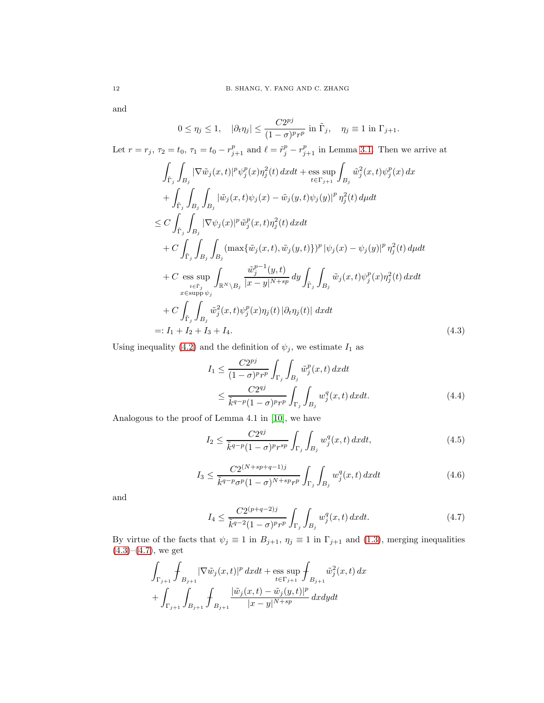and

$$
0 \le \eta_j \le 1, \quad |\partial_t \eta_j| \le \frac{C2^{pj}}{(1-\sigma)^p r^p} \text{ in } \tilde{\Gamma}_j, \quad \eta_j \equiv 1 \text{ in } \Gamma_{j+1}.
$$

Let  $r = r_j$ ,  $\tau_2 = t_0$ ,  $\tau_1 = t_0 - r_{j+1}^p$  and  $\ell = \tilde{r}_j^p - r_{j+1}^p$  in Lemma [3.1.](#page-6-1) Then we arrive at

$$
\int_{\tilde{\Gamma}_{j}} \int_{B_{j}} |\nabla \tilde{w}_{j}(x,t)|^{p} \psi_{j}^{p}(x) \eta_{j}^{2}(t) dx dt + \underset{t \in \Gamma_{j+1}}{\text{ess sup}} \int_{B_{j}} \tilde{w}_{j}^{2}(x,t) \psi_{j}^{p}(x) dx \n+ \int_{\tilde{\Gamma}_{j}} \int_{B_{j}} \int_{B_{j}} |\tilde{w}_{j}(x,t) \psi_{j}(x) - \tilde{w}_{j}(y,t) \psi_{j}(y)|^{p} \eta_{j}^{2}(t) d\mu dt \n\leq C \int_{\tilde{\Gamma}_{j}} \int_{B_{j}} |\nabla \psi_{j}(x)|^{p} \tilde{w}_{j}^{p}(x,t) \eta_{j}^{2}(t) dx dt \n+ C \int_{\tilde{\Gamma}_{j}} \int_{B_{j}} \int_{B_{j}} (\max\{\tilde{w}_{j}(x,t), \tilde{w}_{j}(y,t)\})^{p} |\psi_{j}(x) - \psi_{j}(y)|^{p} \eta_{j}^{2}(t) d\mu dt \n+ C \underset{t \in \tilde{\Gamma}_{j}}{\text{ess sup}} \int_{\mathbb{R}^{N} \setminus B_{j}} \frac{\tilde{w}_{j}^{p-1}(y,t)}{|x - y|^{N + sp}} dy \int_{\tilde{\Gamma}_{j}} \int_{B_{j}} \tilde{w}_{j}(x,t) \psi_{j}^{p}(x) \eta_{j}^{2}(t) dx dt \n+ C \int_{\tilde{\Gamma}_{j}} \int_{B_{j}} \tilde{w}_{j}^{2}(x,t) \psi_{j}^{p}(x) \eta_{j}(t) |\partial_{t} \eta_{j}(t)| dx dt \n=: I_{1} + I_{2} + I_{3} + I_{4}.
$$
\n(4.3)

Using inequality [\(4.2\)](#page-10-1) and the definition of  $\psi_j$ , we estimate  $I_1$  as

<span id="page-11-0"></span>
$$
I_1 \leq \frac{C2^{pj}}{(1-\sigma)^{p}r^p} \int_{\Gamma_j} \int_{B_j} \tilde{w}_j^p(x,t) dxdt
$$
  

$$
\leq \frac{C2^{qj}}{\tilde{k}^{q-p}(1-\sigma)^{p}r^p} \int_{\Gamma_j} \int_{B_j} w_j^q(x,t) dxdt.
$$
 (4.4)

Analogous to the proof of Lemma 4.1 in [\[10\]](#page-23-1), we have

$$
I_2 \le \frac{C2^{qj}}{\tilde{k}^{q-p}(1-\sigma)^{p}r^{sp}} \int_{\Gamma_j} \int_{B_j} w_j^q(x,t) dx dt,
$$
\n(4.5)

$$
I_3 \le \frac{C2^{(N+sp+q-1)j}}{\tilde{k}^{q-p}\sigma^p (1-\sigma)^{N+sp}r^p} \int_{\Gamma_j} \int_{B_j} w_j^q(x,t) dx dt \tag{4.6}
$$

and

<span id="page-11-1"></span>
$$
I_4 \le \frac{C2^{(p+q-2)j}}{\tilde{k}^{q-2}(1-\sigma)^{p}r^p} \int_{\Gamma_j} \int_{B_j} w_j^q(x,t) \, dxdt. \tag{4.7}
$$

By virtue of the facts that  $\psi_j \equiv 1$  in  $B_{j+1}$ ,  $\eta_j \equiv 1$  in  $\Gamma_{j+1}$  and [\(1.3\)](#page-0-2), merging inequalities  $(4.3)$ – $(4.7)$ , we get

$$
\int_{\Gamma_{j+1}} \int_{B_{j+1}} |\nabla \tilde{w}_j(x,t)|^p \, dxdt + \underset{t \in \Gamma_{j+1}}{\text{ess sup}} \int_{B_{j+1}} \tilde{w}_j^2(x,t) \, dx + \int_{\Gamma_{j+1}} \int_{B_{j+1}} \int_{B_{j+1}} \frac{|\tilde{w}_j(x,t) - \tilde{w}_j(y,t)|^p}{|x - y|^{N + sp}} \, dxdydt
$$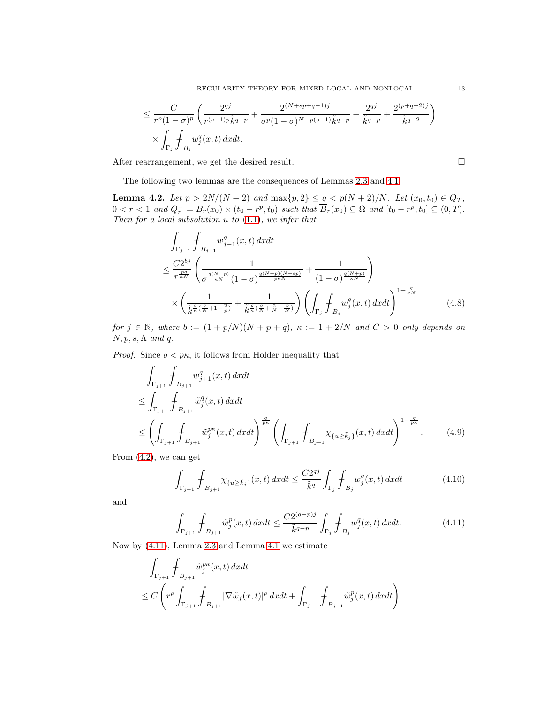$$
\leq \frac{C}{r^p (1-\sigma)^p} \left( \frac{2^{qj}}{r^{(s-1)p} \tilde{k}^{q-p}} + \frac{2^{(N+sp+q-1)j}}{\sigma^p (1-\sigma)^{N+p(s-1)} \tilde{k}^{q-p}} + \frac{2^{qj}}{\tilde{k}^{q-p}} + \frac{2^{(p+q-2)j}}{\tilde{k}^{q-2}} \right) \times \int_{\Gamma_j} \int_{B_j} w_j^q(x,t) dx dt.
$$

After rearrangement, we get the desired result.

The following two lemmas are the consequences of Lemmas [2.3](#page-4-0) and [4.1.](#page-10-2)

<span id="page-12-3"></span>Lemma 4.2. Let  $p > 2N/(N+2)$  and  $\max\{p, 2\} \le q < p(N+2)/N$ . Let  $(x_0, t_0) \in Q_T$ ,  $0 < r < 1$  and  $Q_r^- = B_r(x_0) \times (t_0 - r^p, t_0)$  such that  $\overline{B}_r(x_0) \subseteq \Omega$  and  $[t_0 - r^p, t_0] \subseteq (0, T)$ . Then for a local subsolution  $u$  to  $(1.1)$ , we infer that

$$
\int_{\Gamma_{j+1}} \int_{B_{j+1}} w_{j+1}^q(x,t) dx dt
$$
\n
$$
\leq \frac{C2^{bj}}{r^{\frac{pq}{\kappa N}}} \left( \frac{1}{\sigma^{\frac{q(N+p)}{\kappa N}} (1-\sigma)^{\frac{q(N+p)(N+sp)}{p\kappa N}}} + \frac{1}{(1-\sigma)^{\frac{q(N+p)}{\kappa N}}} \right)
$$
\n
$$
\times \left( \frac{1}{\tilde{k}^{\frac{q}{\kappa} (\frac{q}{N}+1-\frac{2}{p})}} + \frac{1}{\tilde{k}^{\frac{q}{\kappa} (\frac{q}{N}+\frac{2}{N}-\frac{p}{N})}} \right) \left( \int_{\Gamma_j} \int_{B_j} w_j^q(x,t) dx dt \right)^{1+\frac{q}{\kappa N}} \tag{4.8}
$$

for  $j \in \mathbb{N}$ , where  $b := (1 + p/N)(N + p + q)$ ,  $\kappa := 1 + 2/N$  and  $C > 0$  only depends on  $N, p, s, \Lambda$  and q.

*Proof.* Since  $q < p\kappa$ , it follows from Hölder inequality that

$$
\int_{\Gamma_{j+1}} \int_{B_{j+1}} w_{j+1}^{q}(x,t) dx dt
$$
\n
$$
\leq \int_{\Gamma_{j+1}} \int_{B_{j+1}} \tilde{w}_{j}^{q}(x,t) dx dt
$$
\n
$$
\leq \left( \int_{\Gamma_{j+1}} \int_{B_{j+1}} \tilde{w}_{j}^{p\kappa}(x,t) dx dt \right)^{\frac{q}{p\kappa}} \left( \int_{\Gamma_{j+1}} \int_{B_{j+1}} \chi_{\{u \geq \tilde{k}_{j}\}}(x,t) dx dt \right)^{1-\frac{q}{p\kappa}}.
$$
\n(4.9)

From  $(4.2)$ , we can get

<span id="page-12-2"></span><span id="page-12-1"></span>
$$
\int_{\Gamma_{j+1}} \int_{B_{j+1}} \chi_{\{u \ge \tilde{k}_j\}}(x,t) \, dxdt \le \frac{C2^{qj}}{\tilde{k}^q} \int_{\Gamma_j} \int_{B_j} w_j^q(x,t) \, dxdt \tag{4.10}
$$

and

<span id="page-12-0"></span>
$$
\int_{\Gamma_{j+1}} \int_{B_{j+1}} \tilde{w}_j^p(x, t) \, dx dt \le \frac{C2^{(q-p)j}}{\tilde{k}^{q-p}} \int_{\Gamma_j} \int_{B_j} w_j^q(x, t) \, dx dt. \tag{4.11}
$$

Now by [\(4.11\)](#page-12-0), Lemma [2.3](#page-4-0) and Lemma [4.1](#page-10-2) we estimate

$$
\int_{\Gamma_{j+1}} f_{B_{j+1}} \tilde{w}_j^{p\kappa}(x, t) dx dt \n\leq C \left( r^p \int_{\Gamma_{j+1}} f_{B_{j+1}} |\nabla \tilde{w}_j(x, t)|^p dx dt + \int_{\Gamma_{j+1}} f_{B_{j+1}} \tilde{w}_j^p(x, t) dx dt \right)
$$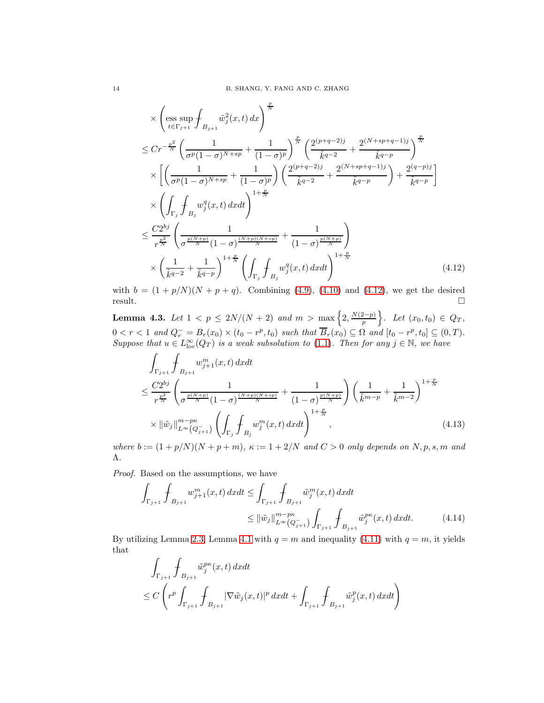$$
\times \left( \underset{t \in \Gamma_{j+1}}{\operatorname{ess}} \underset{f \in \Gamma_{j+1}}{\operatorname{sup}} \int_{B_{j+1}} \tilde{w}_j^2(x, t) dx \right)^{\frac{p}{N}}
$$
\n
$$
\leq C r^{-\frac{p^2}{N}} \left( \frac{1}{\sigma^p (1 - \sigma)^{N + sp}} + \frac{1}{(1 - \sigma)^p} \right)^{\frac{p}{N}} \left( \frac{2^{(p+q-2)j}}{\tilde{k}^{q-2}} + \frac{2^{(N+sp+q-1)j}}{\tilde{k}^{q-p}} \right)^{\frac{p}{N}}
$$
\n
$$
\times \left[ \left( \frac{1}{\sigma^p (1 - \sigma)^{N + sp}} + \frac{1}{(1 - \sigma)^p} \right) \left( \frac{2^{(p+q-2)j}}{\tilde{k}^{q-2}} + \frac{2^{(N+sp+q-1)j}}{\tilde{k}^{q-p}} \right) + \frac{2^{(q-p)j}}{\tilde{k}^{q-p}} \right]
$$
\n
$$
\times \left( \int_{\Gamma_j} \int_{B_j} w_j^q(x, t) dx dt \right)^{1 + \frac{p}{N}}
$$
\n
$$
\leq \frac{C 2^{bj}}{r^{\frac{p^2}{N}}} \left( \frac{1}{\sigma^{\frac{p(N+p)}{N}} (1 - \sigma)^{\frac{(N+p)(N+sp)}{N}}} + \frac{1}{(1 - \sigma)^{\frac{p(N+p)}{N}}} \right)
$$
\n
$$
\times \left( \frac{1}{\tilde{k}^{q-2}} + \frac{1}{\tilde{k}^{q-p}} \right)^{1 + \frac{p}{N}} \left( \int_{\Gamma_j} \int_{B_j} w_j^q(x, t) dx dt \right)^{1 + \frac{p}{N}}
$$
\n(4.12)

with  $b = (1 + p/N)(N + p + q)$ . Combining [\(4.9\)](#page-12-1), [\(4.10\)](#page-12-2) and [\(4.12\)](#page-13-0), we get the desired  $result.$ 

<span id="page-13-3"></span>**Lemma 4.3.** Let  $1 < p \le 2N/(N+2)$  and  $m > \max\left\{2, \frac{N(2-p)}{n}\right\}$  $\left\{\frac{2-p}{p}\right\}.$  Let  $(x_0, t_0) \in Q_T$ ,  $0 < r < 1$  and  $Q_r^- = B_r(x_0) \times (t_0 - r^p, t_0)$  such that  $\overline{B}_r(x_0) \subseteq \Omega$  and  $[t_0 - r^p, t_0] \subseteq (0, T)$ . Suppose that  $u \in L^{\infty}_{loc}(Q_T)$  is a weak subsolution to [\(1.1\)](#page-0-1). Then for any  $j \in \mathbb{N}$ , we have

<span id="page-13-2"></span><span id="page-13-0"></span>
$$
\int_{\Gamma_{j+1}} \int_{B_{j+1}} w_{j+1}^{m}(x,t) dx dt
$$
\n
$$
\leq \frac{C2^{bj}}{r^{\frac{p^{2}}{N}}} \left( \frac{1}{\sigma^{\frac{p(N+p)}{N}} (1-\sigma)^{\frac{(N+p)(N+sp)}{N}}} + \frac{1}{(1-\sigma)^{\frac{p(N+p)}{N}}} \right) \left( \frac{1}{\tilde{k}^{m-p}} + \frac{1}{\tilde{k}^{m-2}} \right)^{1+\frac{p}{N}}
$$
\n
$$
\times \|\tilde{w}_{j}\|_{L^{\infty}(Q_{j+1})}^{m-p\kappa} \left( \int_{\Gamma_{j}} \int_{B_{j}} w_{j}^{m}(x,t) dx dt \right)^{1+\frac{p}{N}}, \tag{4.13}
$$

where  $b := (1 + p/N)(N + p + m)$ ,  $\kappa := 1 + 2/N$  and  $C > 0$  only depends on N, p, s, m and Λ.

Proof. Based on the assumptions, we have

<span id="page-13-1"></span>
$$
\int_{\Gamma_{j+1}} \int_{B_{j+1}} w_{j+1}^m(x,t) dx dt \le \int_{\Gamma_{j+1}} \int_{B_{j+1}} \tilde{w}_j^m(x,t) dx dt
$$
\n
$$
\leq \|\tilde{w}_j\|_{L^{\infty}(Q_{j+1})}^{m-p\kappa} \int_{\Gamma_{j+1}} \int_{B_{j+1}} \tilde{w}_j^{p\kappa}(x,t) dx dt. \tag{4.14}
$$

By utilizing Lemma [2.3,](#page-4-0) Lemma [4.1](#page-10-2) with  $q = m$  and inequality [\(4.11\)](#page-12-0) with  $q = m$ , it yields that

$$
\int_{\Gamma_{j+1}} \int_{B_{j+1}} \tilde{w}_j^{p\kappa}(x,t) dxdt \n\leq C \left( r^p \int_{\Gamma_{j+1}} \int_{B_{j+1}} |\nabla \tilde{w}_j(x,t)|^p dxdt + \int_{\Gamma_{j+1}} \int_{B_{j+1}} \tilde{w}_j^p(x,t) dxdt \right)
$$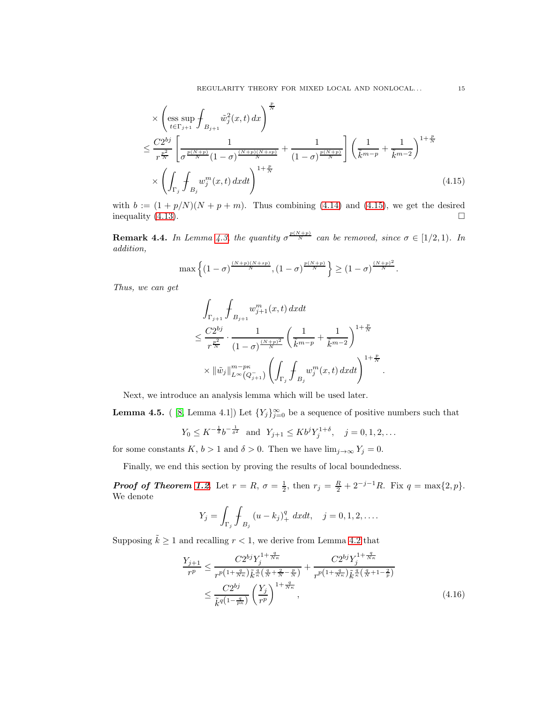$$
\times \left( \underset{t \in \Gamma_{j+1}}{\text{ess sup}} \int_{B_{j+1}} \tilde{w}_j^2(x, t) dx \right)^{\frac{p}{N}} \n\leq \frac{C2^{bj}}{r^{\frac{p^2}{N}}} \left[ \frac{1}{\sigma^{\frac{p(N+p)}{N}} (1-\sigma)^{\frac{(N+p)(N+sp)}{N}}} + \frac{1}{(1-\sigma)^{\frac{p(N+p)}{N}}} \right] \left( \frac{1}{\tilde{k}^{m-p}} + \frac{1}{\tilde{k}^{m-2}} \right)^{1+\frac{p}{N}} \n\times \left( \int_{\Gamma_j} \int_{B_j} w_j^m(x, t) dx dt \right)^{1+\frac{p}{N}} \n\tag{4.15}
$$

with  $b := (1 + p/N)(N + p + m)$ . Thus combining [\(4.14\)](#page-13-1) and [\(4.15\)](#page-14-0), we get the desired inequality [\(4.13\)](#page-13-2).  $\Box$ 

**Remark 4.4.** In Lemma [4.3,](#page-13-3) the quantity  $\sigma \frac{p(N+p)}{N}$  can be removed, since  $\sigma \in [1/2, 1)$ . In addition,

$$
\max\left\{(1-\sigma)^{\frac{(N+p)(N+sp)}{N}},(1-\sigma)^{\frac{p(N+p)}{N}}\right\}\geq (1-\sigma)^{\frac{(N+p)^2}{N}}.
$$

Thus, we can get

$$
\int_{\Gamma_{j+1}} f_{B_{j+1}} w_{j+1}^m(x, t) dx dt
$$
\n
$$
\leq \frac{C2^{bj}}{r^{\frac{p^2}{N}}} \cdot \frac{1}{(1-\sigma)^{\frac{(N+p)^2}{N}}} \left(\frac{1}{\tilde{k}^{m-p}} + \frac{1}{\tilde{k}^{m-2}}\right)^{1+\frac{p}{N}}
$$
\n
$$
\times ||\tilde{w}_j||_{L^{\infty}(Q_{j+1})}^{m-p\kappa} \left(\int_{\Gamma_j} f_{B_j} w_j^m(x, t) dx dt\right)^{1+\frac{p}{N}}
$$

<span id="page-14-0"></span>.

Next, we introduce an analysis lemma which will be used later.

<span id="page-14-1"></span>**Lemma 4.5.** ( [\[8,](#page-23-11) Lemma 4.1]) Let  ${Y_j}_{j=0}^{\infty}$  be a sequence of positive numbers such that

$$
Y_0 \leq K^{-\frac{1}{\delta}} b^{-\frac{1}{\delta^2}}
$$
 and  $Y_{j+1} \leq K b^j Y_j^{1+\delta}$ ,  $j = 0, 1, 2, ...$ 

for some constants K,  $b > 1$  and  $\delta > 0$ . Then we have  $\lim_{j \to \infty} Y_j = 0$ .

Finally, we end this section by proving the results of local boundedness.

**Proof of Theorem [1.2](#page-2-2).** Let  $r = R$ ,  $\sigma = \frac{1}{2}$ , then  $r_j = \frac{R}{2} + 2^{-j-1}R$ . Fix  $q = \max\{2, p\}$ . We denote

$$
Y_j = \int_{\Gamma_j} \int_{B_j} (u - k_j)_+^q \ dx dt, \quad j = 0, 1, 2, ....
$$

Supposing  $\tilde{k} \ge 1$  and recalling  $r < 1$ , we derive from Lemma [4.2](#page-12-3) that

$$
\frac{Y_{j+1}}{r^p} \le \frac{C2^{bj}Y_j^{1+\frac{q}{N\kappa}}}{r^{p(1+\frac{q}{N\kappa})}\tilde{k}^{\frac{q}{\kappa}\left(\frac{q}{N}+\frac{2}{N}-\frac{p}{N}\right)}} + \frac{C2^{bj}Y_j^{1+\frac{q}{N\kappa}}}{r^{p(1+\frac{q}{N\kappa})}\tilde{k}^{\frac{q}{\kappa}\left(\frac{q}{N}+1-\frac{2}{p}\right)}} \le \frac{C2^{bj}}{\tilde{k}^{q(1-\frac{q}{p\kappa})}} \left(\frac{Y_j}{r^p}\right)^{1+\frac{q}{N\kappa}},
$$
\n(4.16)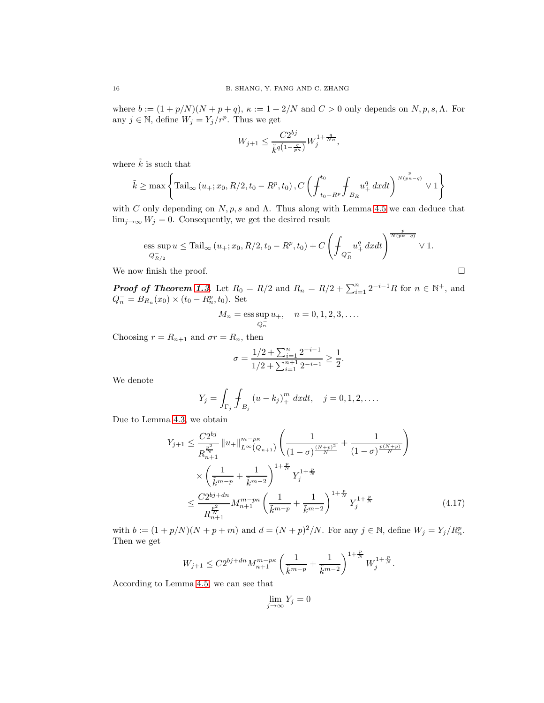where  $b := (1 + p/N)(N + p + q)$ ,  $\kappa := 1 + 2/N$  and  $C > 0$  only depends on  $N, p, s, \Lambda$ . For any  $j \in \mathbb{N}$ , define  $W_j = Y_j/r^p$ . Thus we get

$$
W_{j+1} \le \frac{C2^{bj}}{\tilde{k}^{q(1-\frac{q}{p\kappa})}} W_j^{1+\frac{q}{N\kappa}},
$$

where  $\tilde{k}$  is such that

$$
\tilde{k} \ge \max \left\{ \text{Tail}_{\infty} (u_{+}; x_{0}, R/2, t_{0} - R^{p}, t_{0}), C \left( \int_{t_{0} - R^{p}}^{t_{0}} \int_{B_{R}} u_{+}^{q} dxdt \right)^{\frac{p}{N(p\kappa - q)}} \vee 1 \right\}
$$

with C only depending on  $N, p, s$  and  $\Lambda$ . Thus along with Lemma [4.5](#page-14-1) we can deduce that  $\lim_{j\to\infty} W_j = 0$ . Consequently, we get the desired result

ess sup 
$$
u \leq \text{Tail}_{\infty} (u_+; x_0, R/2, t_0 - R^p, t_0) + C \left( \int_{Q_R^-} u_+^q dx dt \right)^{\frac{p}{N(p\kappa - q)}} \vee 1.
$$

We now finish the proof.  $\Box$ 

**Proof of Theorem [1.3](#page-2-3).** Let  $R_0 = R/2$  and  $R_n = R/2 + \sum_{i=1}^n 2^{-i-1}R$  for  $n \in \mathbb{N}^+$ , and  $Q_n^- = B_{R_n}(x_0) \times (t_0 - R_n^p, t_0)$ . Set

$$
M_n = \operatorname{ess} \sup_{Q_n^-} u_+, \quad n = 0, 1, 2, 3, \dots
$$

Choosing  $r = R_{n+1}$  and  $\sigma r = R_n$ , then

$$
\sigma = \frac{1/2 + \sum_{i=1}^{n} 2^{-i-1}}{1/2 + \sum_{i=1}^{n+1} 2^{-i-1}} \ge \frac{1}{2}.
$$

We denote

$$
Y_j = \int_{\Gamma_j} \int_{B_j} (u - k_j)_+^m dx dt, \quad j = 0, 1, 2, ....
$$

Due to Lemma [4.3,](#page-13-3) we obtain

$$
Y_{j+1} \leq \frac{C2^{bj}}{R_{n+1}^{\frac{p^2}{N}}} \|u_+\|_{L^{\infty}(Q_{n+1}^-)}^{m-p\kappa} \left(\frac{1}{(1-\sigma)^{\frac{(N+p)^2}{N}}} + \frac{1}{(1-\sigma)^{\frac{p(N+p)}{N}}}\right)
$$
  
\$\times \left(\frac{1}{\tilde{k}^{m-p}} + \frac{1}{\tilde{k}^{m-2}}\right)^{1+\frac{p}{N}} Y\_j^{1+\frac{p}{N}}\$  
\$\leq \frac{C2^{bj+dn}}{R\_{n+1}^{\frac{p^2}{N}}} M\_{n+1}^{m-p\kappa} \left(\frac{1}{\tilde{k}^{m-p}} + \frac{1}{\tilde{k}^{m-2}}\right)^{1+\frac{p}{N}} Y\_j^{1+\frac{p}{N}}\$ (4.17)

with  $b := (1 + p/N)(N + p + m)$  and  $d = (N + p)^2/N$ . For any  $j \in \mathbb{N}$ , define  $W_j = Y_j/R_n^p$ . Then we get

$$
W_{j+1} \leq C 2^{bj+dn} M_{n+1}^{m-p\kappa} \left( \frac{1}{\tilde{k}^{m-p}} + \frac{1}{\tilde{k}^{m-2}} \right)^{1+\frac{p}{N}} W_j^{1+\frac{p}{N}}.
$$

According to Lemma [4.5,](#page-14-1) we can see that

$$
\lim_{j \to \infty} Y_j = 0
$$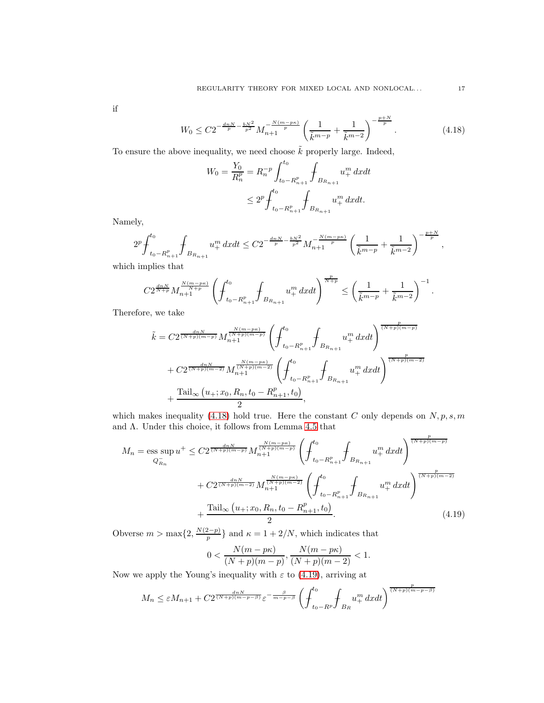if

$$
W_0 \leq C2^{-\frac{dnN}{p} - \frac{bN^2}{p^2}} M_{n+1}^{-\frac{N(m-p\kappa)}{p}} \left(\frac{1}{\tilde{k}^{m-p}} + \frac{1}{\tilde{k}^{m-2}}\right)^{-\frac{p+N}{p}}.\tag{4.18}
$$

To ensure the above inequality, we need choose  $\tilde{k}$  properly large. Indeed,

<span id="page-16-0"></span>
$$
W_0 = \frac{Y_0}{R_n^p} = R_n^{-p} \int_{t_0 - R_{n+1}^p}^{t_0} \int_{B_{R_{n+1}}} u_+^m dx dt
$$
  

$$
\leq 2^p \int_{t_0 - R_{n+1}^p}^{t_0} \int_{B_{R_{n+1}}} u_+^m dx dt.
$$

Namely,

$$
2^{p}\!\!\operatorname{\int}_{t_0-R_{n+1}^p}^{t_0}\!\!\operatorname{\int}_{B_{R_{n+1}}}u_+^m\,dxdt\leq C2^{-\frac{dnN}{p}-\frac{bN^2}{p^2}}M_{n+1}^{-\frac{N(m-p\kappa)}{p}}\left(\frac{1}{\tilde{k}^{m-p}}+\frac{1}{\tilde{k}^{m-2}}\right)^{-\frac{p+N}{p}},
$$

which implies that

C2 dnN <sup>N</sup>+pM N(m−pκ) N+p n+1<sup>Z</sup> − t0 t0−R p n+1 Z − BRn+1 u m <sup>+</sup> dxdt! <sup>p</sup> N+p ≤ 1 ˜k<sup>m</sup>−<sup>p</sup> + 1 ˜k<sup>m</sup>−<sup>2</sup> <sup>−</sup><sup>1</sup> .

Therefore, we take

$$
\tilde{k} = C2^{\frac{dnN}{(N+p)(m-p)}} M_{n+1}^{\frac{N(m-p\kappa)}{(N+p)(m-p)}} \left( \int_{t_0-R_{n+1}^p}^{t_0} \int_{B_{R_{n+1}}} u_+^m dx dt \right)^{\frac{p}{(N+p)(m-p)}} \n+ C2^{\frac{dnN}{(N+p)(m-2)}} M_{n+1}^{\frac{N(m-p\kappa)}{(N+p)(m-2)}} \left( \int_{t_0-R_{n+1}^p}^{t_0} \int_{B_{R_{n+1}}} u_+^m dx dt \right)^{\frac{p}{(N+p)(m-2)}} \n+ \frac{\text{Tail}_{\infty} (u_+; x_0, R_n, t_0 - R_{n+1}^p, t_0)}{2},
$$

which makes inequality [\(4.18\)](#page-16-0) hold true. Here the constant C only depends on  $N, p, s, m$ and Λ. Under this choice, it follows from Lemma [4.5](#page-14-1) that

$$
M_{n} = \operatorname{ess} \operatorname{sup} u^{+} \leq C 2^{\frac{dnN}{(N+p)(m-p)}} M_{n+1}^{\frac{N(m-p\kappa)}{(N+p)(m-p)}} \left( \int_{t_{0}-R_{n+1}^{p}}^{t_{0}} \int_{B_{R_{n+1}}} u_{+}^{m} dx dt \right)^{\frac{p}{(N+p)(m-p)}} + C 2^{\frac{dnN}{(N+p)(m-2)}} M_{n+1}^{\frac{N(m-p\kappa)}{(N+p)(m-2)}} \left( \int_{t_{0}-R_{n+1}^{p}}^{t_{0}} \int_{B_{R_{n+1}}} u_{+}^{m} dx dt \right)^{\frac{p}{(N+p)(m-2)}} + \frac{\operatorname{Tail}_{\infty} (u_{+}; x_{0}, R_{n}, t_{0}-R_{n+1}^{p}, t_{0})}{2}.
$$
 (4.19)

Obverse  $m > \max\{2, \frac{N(2-p)}{n}\}$  $\binom{z-p}{p}$  and  $\kappa = 1 + 2/N$ , which indicates that

<span id="page-16-1"></span>
$$
0 < \frac{N(m - p\kappa)}{(N + p)(m - p)}, \frac{N(m - p\kappa)}{(N + p)(m - 2)} < 1.
$$

Now we apply the Young's inequality with  $\varepsilon$  to [\(4.19\)](#page-16-1), arriving at

$$
M_n \leq \varepsilon M_{n+1} + C2^{\frac{dnN}{(N+p)(m-p-\beta)}} \varepsilon^{-\frac{\beta}{m-p-\beta}} \left(\int_{t_0-R^p}^{t_0} \int_{B_R} u_+^m dx dt\right)^{\frac{p}{(N+p)(m-p-\beta)}}
$$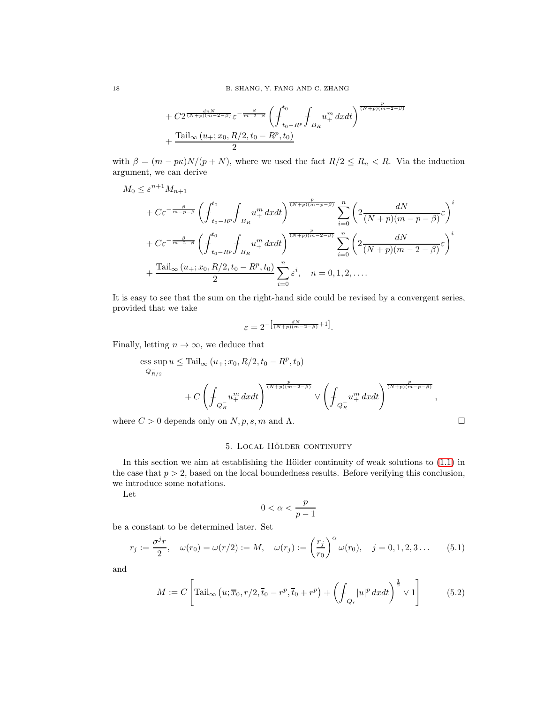$$
+ C2^{\frac{dnN}{(N+p)(m-2-\beta)}} \varepsilon^{-\frac{\beta}{m-2-\beta}} \left( \int_{t_0-R^p}^{t_0} \int_{B_R} u_+^m dx dt \right)^{\frac{p}{(N+p)(m-2-\beta)}}
$$
  
+ 
$$
\frac{\text{Tail}_{\infty} (u_+; x_0, R/2, t_0 - R^p, t_0)}{2}
$$

with  $\beta = (m - p\kappa)N/(p + N)$ , where we used the fact  $R/2 \le R_n < R$ . Via the induction argument, we can derive

$$
M_0 \leq \varepsilon^{n+1} M_{n+1}
$$
  
+  $C\varepsilon^{-\frac{\beta}{m-p-\beta}} \left( \int_{t_0-R^p}^{t_0} \int_{B_R} u_+^m dx dt \right)^{\frac{p}{(N+p)(m-p-\beta)}} \sum_{i=0}^n \left( 2 \frac{dN}{(N+p)(m-p-\beta)} \varepsilon \right)^i$   
+  $C\varepsilon^{-\frac{\beta}{m-2-\beta}} \left( \int_{t_0-R^p}^{t_0} \int_{B_R} u_+^m dx dt \right)^{\frac{p}{(N+p)(m-2-\beta)}} \sum_{i=0}^n \left( 2 \frac{dN}{(N+p)(m-2-\beta)} \varepsilon \right)^i$   
+  $\frac{\text{Tail}_{\infty} (u_+,x_0,R/2,t_0-R^p,t_0)}{2} \sum_{i=0}^n \varepsilon^i, \quad n = 0,1,2,\dots$ 

It is easy to see that the sum on the right-hand side could be revised by a convergent series, provided that we take

$$
\varepsilon = 2^{-\left[\frac{dN}{(N+p)(m-2-\beta)}+1\right]}.
$$

Finally, letting  $n \to \infty$ , we deduce that

ess sup 
$$
u \leq \text{Tail}_{\infty} (u_+; x_0, R/2, t_0 - R^p, t_0)
$$
  
\n
$$
+ C \left( \int_{Q_R^-} u_+^m dx dt \right)^{\frac{p}{(N+p)(m-2-\beta)}} \vee \left( \int_{Q_R^-} u_+^m dx dt \right)^{\frac{p}{(N+p)(m-p-\beta)}},
$$

<span id="page-17-0"></span>where  $C > 0$  depends only on  $N, p, s, m$  and  $\Lambda$ .

## 5. LOCAL HÖLDER CONTINUITY

In this section we aim at establishing the Hölder continuity of weak solutions to  $(1.1)$  in the case that  $p > 2$ , based on the local boundedness results. Before verifying this conclusion, we introduce some notations.

Let

$$
0<\alpha<\frac{p}{p-1}
$$

be a constant to be determined later. Set

$$
r_j := \frac{\sigma^j r}{2}, \quad \omega(r_0) = \omega(r/2) := M, \quad \omega(r_j) := \left(\frac{r_j}{r_0}\right)^{\alpha} \omega(r_0), \quad j = 0, 1, 2, 3 \dots \tag{5.1}
$$

and

$$
M := C \left[ \text{Tail}_{\infty} \left( u; \overline{x}_0, r/2, \overline{t}_0 - r^p, \overline{t}_0 + r^p \right) + \left( \oint_{Q_r} |u|^p \, dxdt \right)^{\frac{1}{2}} \vee 1 \right] \tag{5.2}
$$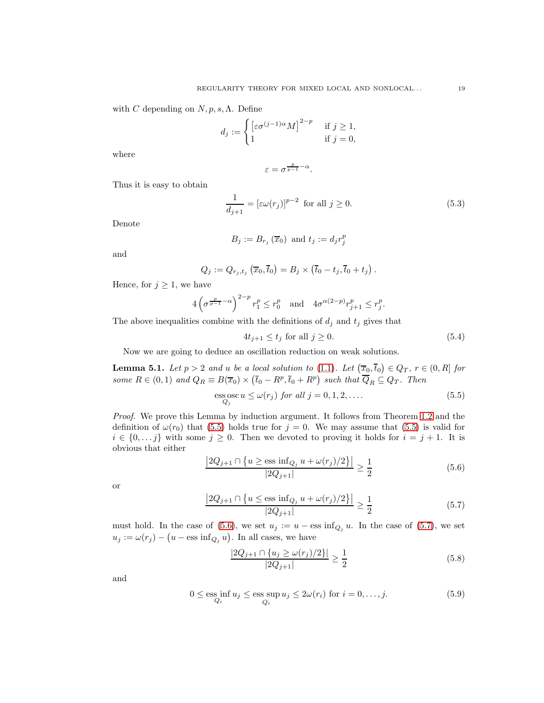with C depending on  $N, p, s, \Lambda$ . Define

$$
d_j := \begin{cases} \left[ \varepsilon \sigma^{(j-1)\alpha} M \right]^{2-p} & \text{if } j \ge 1, \\ 1 & \text{if } j = 0, \end{cases}
$$

where

<span id="page-18-4"></span>
$$
\varepsilon = \sigma^{\frac{p}{p-1}-\alpha}.
$$

Thus it is easy to obtain

$$
\frac{1}{d_{j+1}} = \left[\varepsilon\omega(r_j)\right]^{p-2} \text{ for all } j \ge 0.
$$
\n(5.3)

Denote

$$
B_j := B_{r_j}(\overline{x}_0) \text{ and } t_j := d_j r_j^p
$$

and

$$
Q_j := Q_{r_j,t_j}\left(\overline{x}_0,\overline{t}_0\right) = B_j \times \left(\overline{t}_0 - t_j,\overline{t}_0 + t_j\right).
$$

Hence, for  $j \geq 1$ , we have

$$
4\left(\sigma^{\frac{p}{p-1}-\alpha}\right)^{2-p}r_1^p \le r_0^p \quad \text{and} \quad 4\sigma^{\alpha(2-p)}r_{j+1}^p \le r_j^p.
$$

The above inequalities combine with the definitions of  $d_j$  and  $t_j$  gives that

<span id="page-18-0"></span>
$$
4t_{j+1} \le t_j \text{ for all } j \ge 0. \tag{5.4}
$$

Now we are going to deduce an oscillation reduction on weak solutions.

<span id="page-18-5"></span>**Lemma 5.1.** Let  $p > 2$  and u be a local solution to [\(1.1\)](#page-0-1). Let  $(\overline{x}_0, \overline{t}_0) \in Q_T$ ,  $r \in (0, R]$  for some  $R \in (0,1)$  and  $Q_R \equiv B(\overline{x}_0) \times (\overline{t}_0 - R^p, \overline{t}_0 + R^p)$  such that  $\overline{Q}_R \subseteq Q_T$ . Then

$$
\underset{Q_j}{\text{ess osc}} u \le \omega(r_j) \text{ for all } j = 0, 1, 2, \dots
$$
\n
$$
(5.5)
$$

Proof. We prove this Lemma by induction argument. It follows from Theorem [1.2](#page-2-2) and the definition of  $\omega(r_0)$  that [\(5.5\)](#page-18-0) holds true for  $j = 0$ . We may assume that (5.5) is valid for  $i \in \{0, \ldots j\}$  with some  $j \geq 0$ . Then we devoted to proving it holds for  $i = j + 1$ . It is obvious that either

$$
\frac{|2Q_{j+1} \cap \{u \ge \text{ess inf}_{Q_j} u + \omega(r_j)/2\}|}{|2Q_{j+1}|} \ge \frac{1}{2}
$$
\n(5.6)

or

$$
\frac{|2Q_{j+1} \cap \{u \le \text{ess inf}_{Q_j} u + \omega(r_j)/2\}|}{|2Q_{j+1}|} \ge \frac{1}{2}
$$
\n(5.7)

must hold. In the case of [\(5.6\)](#page-18-1), we set  $u_j := u - \text{ess inf}_{Q_j} u$ . In the case of [\(5.7\)](#page-18-2), we set  $u_j := \omega(r_j) - \left(u - \text{ess inf}_{Q_j} u\right)$ . In all cases, we have

<span id="page-18-3"></span><span id="page-18-2"></span><span id="page-18-1"></span>
$$
\frac{|2Q_{j+1} \cap \{u_j \ge \omega(r_j)/2\}|}{|2Q_{j+1}|} \ge \frac{1}{2}
$$
\n(5.8)

and

$$
0 \le \underset{Q_i}{\text{ess inf}} \, u_j \le \underset{Q_i}{\text{ess sup}} \, u_j \le 2\omega(r_i) \text{ for } i = 0, \dots, j. \tag{5.9}
$$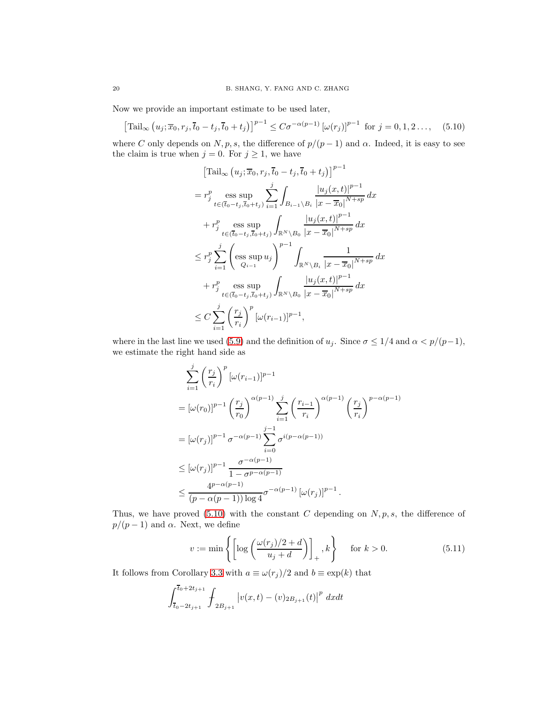Now we provide an important estimate to be used later,

$$
\left[\text{Tail}_{\infty} (u_j; \overline{x}_0, r_j, \overline{t}_0 - t_j, \overline{t}_0 + t_j)\right]^{p-1} \leq C\sigma^{-\alpha(p-1)} \left[\omega(r_j)\right]^{p-1} \text{ for } j = 0, 1, 2 \dots, \quad (5.10)
$$

where C only depends on N, p, s, the difference of  $p/(p-1)$  and  $\alpha$ . Indeed, it is easy to see the claim is true when  $j = 0$ . For  $j \ge 1$ , we have

<span id="page-19-0"></span>
$$
\begin{split}\n\left[\text{Tail}_{\infty}\left(u_{j};\overline{x}_{0},r_{j},\overline{t}_{0}-t_{j},\overline{t}_{0}+t_{j}\right)\right]^{p-1} \\
&=r_{j}^{p}\underset{t\in(\overline{t}_{0}-t_{j},\overline{t}_{0}+t_{j})}{\text{ess sup}}\sum_{i=1}^{j}\int_{B_{i-1}\setminus B_{i}}\frac{\left|u_{j}(x,t)\right|^{p-1}}{\left|x-\overline{x}_{0}\right|^{N+sp}}dx \\
&+r_{j}^{p}\underset{\in(\overline{t}_{0}-t_{j},\overline{t}_{0}+t_{j})}{\text{ess sup}}\int_{\mathbb{R}^{N}\setminus B_{0}}\frac{\left|u_{j}(x,t)\right|^{p-1}}{\left|x-\overline{x}_{0}\right|^{N+sp}}dx \\
&\leq r_{j}^{p}\sum_{i=1}^{j}\left(\underset{Q_{i-1}}{\text{ess sup}}u_{j}\right)^{p-1}\int_{\mathbb{R}^{N}\setminus B_{i}}\frac{1}{\left|x-\overline{x}_{0}\right|^{N+sp}}dx \\
&+r_{j}^{p}\underset{t\in(\overline{t}_{0}-t_{j},\overline{t}_{0}+t_{j})}{\text{ess sup}}\int_{\mathbb{R}^{N}\setminus B_{0}}\frac{\left|u_{j}(x,t)\right|^{p-1}}{\left|x-\overline{x}_{0}\right|^{N+sp}}dx \\
&\leq C\sum_{i=1}^{j}\left(\frac{r_{j}}{r_{i}}\right)^{p}\left[\omega(r_{i-1})\right]^{p-1},\n\end{split}
$$

where in the last line we used [\(5.9\)](#page-18-3) and the definition of  $u_j$ . Since  $\sigma \leq 1/4$  and  $\alpha < p/(p-1)$ , we estimate the right hand side as

$$
\sum_{i=1}^{j} \left(\frac{r_j}{r_i}\right)^p \left[\omega(r_{i-1})\right]^{p-1}
$$
\n
$$
= \left[\omega(r_0)\right]^{p-1} \left(\frac{r_j}{r_0}\right)^{\alpha(p-1)} \sum_{i=1}^{j} \left(\frac{r_{i-1}}{r_i}\right)^{\alpha(p-1)} \left(\frac{r_j}{r_i}\right)^{p-\alpha(p-1)}
$$
\n
$$
= \left[\omega(r_j)\right]^{p-1} \sigma^{-\alpha(p-1)} \sum_{i=0}^{j-1} \sigma^{i(p-\alpha(p-1))}
$$
\n
$$
\leq \left[\omega(r_j)\right]^{p-1} \frac{\sigma^{-\alpha(p-1)}}{1-\sigma^{p-\alpha(p-1)}}
$$
\n
$$
\leq \frac{4^{p-\alpha(p-1)}}{(p-\alpha(p-1))\log 4} \sigma^{-\alpha(p-1)} \left[\omega(r_j)\right]^{p-1}.
$$

Thus, we have proved  $(5.10)$  with the constant C depending on  $N, p, s$ , the difference of  $p/(p-1)$  and  $\alpha$ . Next, we define

<span id="page-19-1"></span>
$$
v := \min\left\{ \left[ \log \left( \frac{\omega(r_j)/2 + d}{u_j + d} \right) \right]_+, k \right\} \quad \text{for } k > 0.
$$
 (5.11)

It follows from Corollary [3.3](#page-9-3) with  $a \equiv \omega(r_j)/2$  and  $b \equiv \exp(k)$  that

$$
\int_{\bar{t}_0 - 2t_{j+1}}^{\bar{t}_0 + 2t_{j+1}} \int_{2B_{j+1}} \left| v(x,t) - (v)_{2B_{j+1}}(t) \right|^p dx dt
$$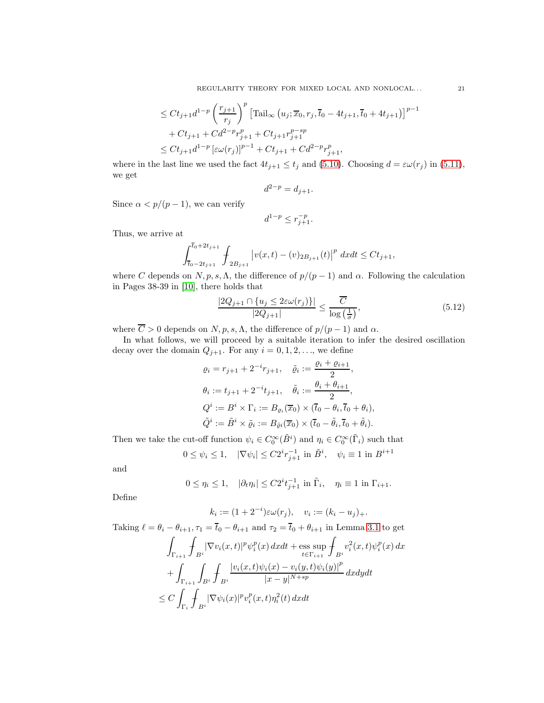REGULARITY THEORY FOR MIXED LOCAL AND NONLOCAL...  $\hspace{2cm} 21$ 

$$
\leq Ct_{j+1}d^{1-p}\left(\frac{r_{j+1}}{r_j}\right)^p\left[\text{Tail}_{\infty}\left(u_j;\overline{x}_0,r_j,\overline{t}_0-4t_{j+1},\overline{t}_0+4t_{j+1}\right)\right]^{p-1} + Ct_{j+1} + Cd^{2-p}r_{j+1}^p + Ct_{j+1}r_{j+1}^{p-sp} \leq Ct_{j+1}d^{1-p}\left[\varepsilon\omega(r_j)\right]^{p-1} + Ct_{j+1} + Cd^{2-p}r_{j+1}^p,
$$

where in the last line we used the fact  $4t_{j+1} \le t_j$  and [\(5.10\)](#page-19-0). Choosing  $d = \varepsilon \omega(r_j)$  in [\(5.11\)](#page-19-1), we get

$$
d^{2-p} = d_{j+1}.
$$

Since  $\alpha < p/(p-1)$ , we can verify

$$
d^{1-p}\leq r_{j+1}^{-p}.
$$

Thus, we arrive at

$$
\int_{\overline{t}_0 - 2t_{j+1}}^{\overline{t}_0 + 2t_{j+1}} \int_{2B_{j+1}} \left| v(x,t) - (v)_{2B_{j+1}}(t) \right|^p dx dt \leq Ct_{j+1},
$$

where C depends on  $N, p, s, \Lambda$ , the difference of  $p/(p-1)$  and  $\alpha$ . Following the calculation in Pages 38-39 in [\[10\]](#page-23-1), there holds that

$$
\frac{|2Q_{j+1} \cap \{u_j \le 2\varepsilon \omega(r_j)\}|}{|2Q_{j+1}|} \le \frac{\overline{C}}{\log\left(\frac{1}{\sigma}\right)},\tag{5.12}
$$

where  $\overline{C} > 0$  depends on  $N, p, s, \Lambda$ , the difference of  $p/(p-1)$  and  $\alpha$ .

In what follows, we will proceed by a suitable iteration to infer the desired oscillation decay over the domain  $Q_{j+1}$ . For any  $i = 0, 1, 2, \ldots$ , we define

$$
\varrho_i = r_{j+1} + 2^{-i}r_{j+1}, \quad \tilde{\varrho}_i := \frac{\varrho_i + \varrho_{i+1}}{2},
$$
  
\n
$$
\theta_i := t_{j+1} + 2^{-i}t_{j+1}, \quad \tilde{\theta}_i := \frac{\theta_i + \theta_{i+1}}{2},
$$
  
\n
$$
Q^i := B^i \times \Gamma_i := B_{\varrho_i}(\overline{x}_0) \times (\overline{t}_0 - \theta_i, \overline{t}_0 + \theta_i),
$$
  
\n
$$
\tilde{Q}^i := \tilde{B}^i \times \tilde{\varrho}_i := B_{\tilde{\varrho}_i}(\overline{x}_0) \times (\overline{t}_0 - \tilde{\theta}_i, \overline{t}_0 + \tilde{\theta}_i).
$$

Then we take the cut-off function  $\psi_i \in C_0^{\infty}(\tilde{B}^i)$  and  $\eta_i \in C_0^{\infty}(\tilde{\Gamma}_i)$  such that

$$
0 \le \psi_i \le 1
$$
,  $|\nabla \psi_i| \le C2^i r_{j+1}^{-1}$  in  $\tilde{B}^i$ ,  $\psi_i \equiv 1$  in  $B^{i+1}$ 

and

$$
0 \le \eta_i \le 1, \quad |\partial_t \eta_i| \le C 2^i t_{j+1}^{-1} \text{ in } \tilde{\Gamma}_i, \quad \eta_i \equiv 1 \text{ in } \Gamma_{i+1}.
$$

Define

$$
k_i := (1 + 2^{-i})\varepsilon \omega(r_j), \quad v_i := (k_i - u_j)_+.
$$

Taking  $\ell=\theta_i-\theta_{i+1}, \tau_1=\overline{t}_0-\theta_{i+1}$  and  $\tau_2=\overline{t}_0+\theta_{i+1}$  in Lemma [3.1](#page-6-1) to get

$$
\int_{\Gamma_{i+1}} \int_{B^i} |\nabla v_i(x,t)|^p \psi_i^p(x) dx dt + \underset{t \in \Gamma_{i+1}}{\text{ess sup}} \int_{B^i} v_i^2(x,t) \psi_i^p(x) dx \n+ \int_{\Gamma_{i+1}} \int_{B^i} \int_{B^i} \frac{|v_i(x,t)\psi_i(x) - v_i(y,t)\psi_i(y)|^p}{|x - y|^{N + sp}} dx dy dt \n\leq C \int_{\Gamma_i} \int_{B^i} |\nabla \psi_i(x)|^p v_i^p(x,t) \eta_i^2(t) dx dt
$$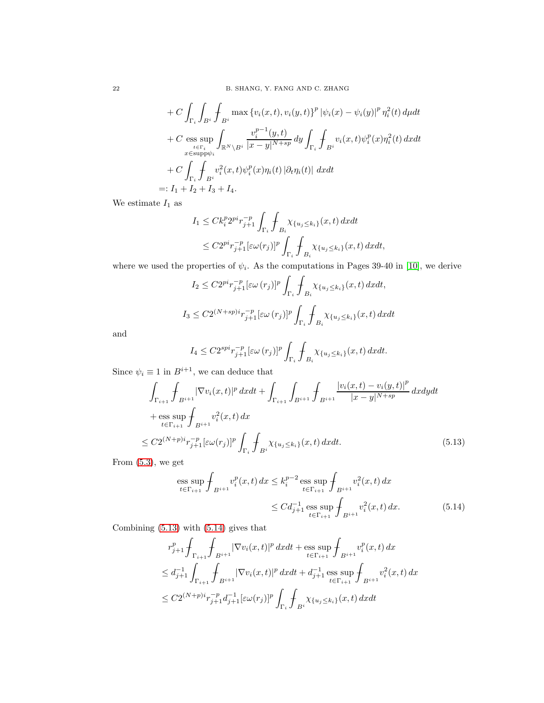+ C 
$$
\int_{\Gamma_i} \int_{B^i} \int_{B^i} \max \{v_i(x, t), v_i(y, t)\}^p |\psi_i(x) - \psi_i(y)|^p \eta_i^2(t) d\mu dt
$$
  
+ C  $\underset{x \in \Gamma_i}{\text{ess sup}} \int_{\mathbb{R}^N \setminus B^i} \frac{v_i^{p-1}(y, t)}{|x - y|^{N + sp}} dy \int_{\Gamma_i} \int_{B^i} v_i(x, t) \psi_i^p(x) \eta_i^2(t) dx dt$   
+ C  $\int_{\Gamma_i} \int_{B^i} v_i^2(x, t) \psi_i^p(x) \eta_i(t) |\partial_t \eta_i(t)| dx dt$   
=: I<sub>1</sub> + I<sub>2</sub> + I<sub>3</sub> + I<sub>4</sub>.

We estimate  $\mathcal{I}_1$  as

$$
I_1 \leq C k_i^p 2^{pi} r_{j+1}^{-p} \int_{\Gamma_i} \int_{B_i} \chi_{\{u_j \leq k_i\}}(x, t) \, dx dt
$$
  

$$
\leq C 2^{pi} r_{j+1}^{-p} [\varepsilon \omega(r_j)]^p \int_{\Gamma_i} \int_{B_i} \chi_{\{u_j \leq k_i\}}(x, t) \, dx dt,
$$

where we used the properties of  $\psi_i$ . As the computations in Pages 39-40 in [\[10\]](#page-23-1), we derive

$$
I_2 \leq C2^{pi} r_{j+1}^{-p} [\varepsilon \omega(r_j)]^p \int_{\Gamma_i} \int_{B_i} \chi_{\{u_j \leq k_i\}}(x, t) dx dt,
$$
  

$$
I_3 \leq C2^{(N+sp)i} r_{j+1}^{-p} [\varepsilon \omega(r_j)]^p \int_{\Gamma_i} \int_{B_i} \chi_{\{u_j \leq k_i\}}(x, t) dx dt
$$

and

$$
I_4 \leq C2^{spi} r_{j+1}^{-p} [\varepsilon \omega(r_j)]^p \int_{\Gamma_i} \int_{B_i} \chi_{\{u_j \leq k_i\}}(x, t) \, dx dt.
$$

Since  $\psi_i \equiv 1$  in  $B^{i+1}$ , we can deduce that

$$
\int_{\Gamma_{i+1}} \int_{B^{i+1}} |\nabla v_i(x,t)|^p \, dxdt + \int_{\Gamma_{i+1}} \int_{B^{i+1}} \int_{B^{i+1}} \frac{|v_i(x,t) - v_i(y,t)|^p}{|x - y|^{N+sp}} \, dxdydt
$$
\n
$$
+ \underset{t \in \Gamma_{i+1}}{\text{ess sup}} \int_{B^{i+1}} v_i^2(x,t) \, dx
$$
\n
$$
\leq C 2^{(N+p)i} r_{j+1}^{-p} [\varepsilon \omega(r_j)]^p \int_{\Gamma_i} \int_{B^i} \chi_{\{u_j \leq k_i\}}(x,t) \, dxdt. \tag{5.13}
$$

From [\(5.3\)](#page-18-4), we get

<span id="page-21-1"></span><span id="page-21-0"></span>
$$
\underset{t \in \Gamma_{i+1}}{\text{ess sup}} \int_{B^{i+1}} v_i^p(x, t) \, dx \le k_i^{p-2} \underset{t \in \Gamma_{i+1}}{\text{ess sup}} \int_{B^{i+1}} v_i^2(x, t) \, dx
$$
\n
$$
\le C d_{j+1}^{-1} \underset{t \in \Gamma_{i+1}}{\text{ess sup}} \int_{B^{i+1}} v_i^2(x, t) \, dx. \tag{5.14}
$$

Combining [\(5.13\)](#page-21-0) with [\(5.14\)](#page-21-1) gives that

$$
r_{j+1}^p \n\int_{\Gamma_{i+1}} \int_{B^{i+1}} |\nabla v_i(x,t)|^p \, dxdt + \underset{t \in \Gamma_{i+1}}{\text{ess sup}} \n\int_{B^{i+1}} v_i^p(x,t) \, dx
$$
  
\n
$$
\leq d_{j+1}^{-1} \int_{\Gamma_{i+1}} \int_{B^{i+1}} |\nabla v_i(x,t)|^p \, dxdt + d_{j+1}^{-1} \underset{t \in \Gamma_{i+1}}{\text{ess sup}} \n\int_{B^{i+1}} v_i^2(x,t) \, dx
$$
  
\n
$$
\leq C 2^{(N+p)i} r_{j+1}^{-p} d_{j+1}^{-1} [\varepsilon \omega(r_j)]^p \int_{\Gamma_i} \int_{B^i} \chi_{\{u_j \leq k_i\}}(x,t) \, dxdt
$$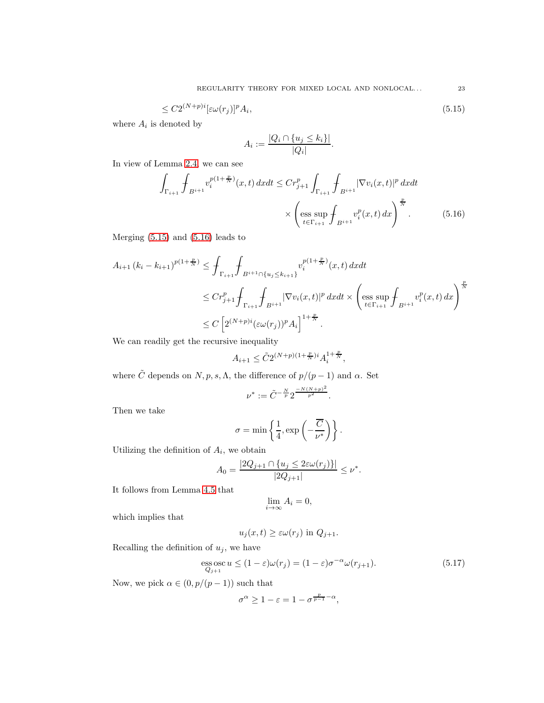REGULARITY THEORY FOR MIXED LOCAL AND NONLOCAL...  $\hspace{2cm} 23$ 

$$
\leq C2^{(N+p)i}[\varepsilon\omega(r_j)]^p A_i,\tag{5.15}
$$

where  $A_i$  is denoted by

$$
A_i := \frac{|Q_i \cap \{u_j \le k_i\}|}{|Q_i|}.
$$

In view of Lemma [2.4,](#page-5-0) we can see

$$
\int_{\Gamma_{i+1}} \int_{B^{i+1}} v_i^{p(1+\frac{p}{N})}(x,t) dx dt \leq C r_{j+1}^p \int_{\Gamma_{i+1}} \int_{B^{i+1}} |\nabla v_i(x,t)|^p dx dt
$$
\n
$$
\times \left( \underset{t \in \Gamma_{i+1}}{\mathrm{ess}} \sup \int_{B^{i+1}} v_i^p(x,t) dx \right)^{\frac{p}{N}}. \tag{5.16}
$$

Merging [\(5.15\)](#page-22-0) and [\(5.16\)](#page-22-1) leads to

$$
A_{i+1} (k_i - k_{i+1})^{p(1+\frac{p}{N})} \leq \int_{\Gamma_{i+1}} \int_{B^{i+1} \cap \{u_j \leq k_{i+1}\}} v_i^{p(1+\frac{p}{N})}(x, t) dx dt
$$
  
\n
$$
\leq C r_{j+1}^p \int_{\Gamma_{i+1}} \int_{B^{i+1}} |\nabla v_i(x, t)|^p dx dt \times \left( \underset{t \in \Gamma_{i+1}}{\mathrm{ess}} \sup \int_{B^{i+1}} v_i^p(x, t) dx \right)^{\frac{p}{N}}
$$
  
\n
$$
\leq C \left[ 2^{(N+p)i} (\varepsilon \omega(r_j))^p A_i \right]^{1+\frac{p}{N}}.
$$

We can readily get the recursive inequality

$$
A_{i+1} \leq \tilde{C} 2^{(N+p)(1+\frac{p}{N})i} A_i^{1+\frac{p}{N}},
$$

where  $\tilde{C}$  depends on  $N, p, s, \Lambda,$  the difference of  $p/(p-1)$  and  $\alpha.$  Set

$$
\nu^* := \tilde{C}^{-\frac{N}{p}} 2^{\frac{-N(N+p)^2}{p^2}}.
$$

Then we take

$$
\sigma = \min \left\{ \frac{1}{4}, \exp \left( -\frac{\overline{C}}{\nu^*} \right) \right\}.
$$

Utilizing the definition of  $A_i$ , we obtain

$$
A_0 = \frac{|2Q_{j+1} \cap \{u_j \le 2\varepsilon \omega(r_j)\}|}{|2Q_{j+1}|} \le \nu^*.
$$

It follows from Lemma [4.5](#page-14-1) that

<span id="page-22-2"></span>
$$
\lim_{i \to \infty} A_i = 0,
$$

which implies that

$$
u_j(x,t) \geq \varepsilon \omega(r_j)
$$
 in  $Q_{j+1}$ .

Recalling the definition of  $u_j$ , we have

$$
\underset{Q_{j+1}}{\text{ess osc}} u \le (1 - \varepsilon)\omega(r_j) = (1 - \varepsilon)\sigma^{-\alpha}\omega(r_{j+1}).\tag{5.17}
$$

Now, we pick  $\alpha \in (0, p/(p-1))$  such that

$$
\sigma^{\alpha} \geq 1 - \varepsilon = 1 - \sigma^{\frac{p}{p-1} - \alpha},
$$

<span id="page-22-1"></span><span id="page-22-0"></span>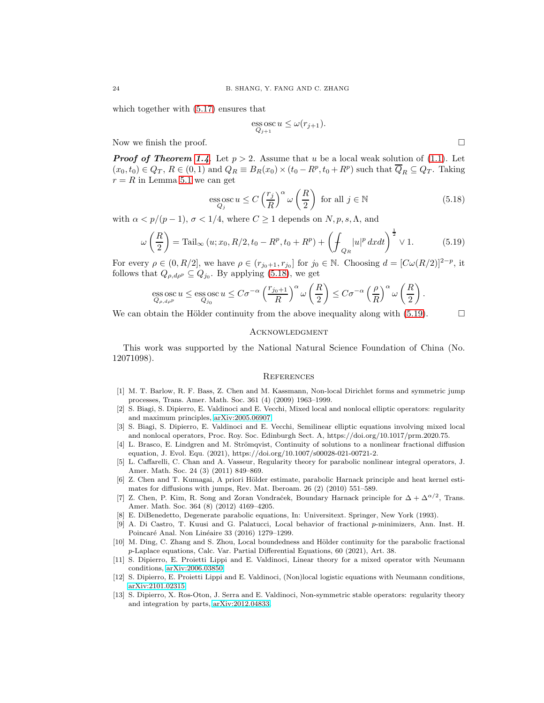which together with [\(5.17\)](#page-22-2) ensures that

$$
\operatorname*{ess\,osc}_{Q_{j+1}} u \le \omega(r_{j+1}).
$$

Now we finish the proof.  $\Box$ 

**Proof of Theorem [1.4](#page-3-3).** Let  $p > 2$ . Assume that u be a local weak solution of [\(1.1\)](#page-0-1). Let  $(x_0, t_0) \in Q_T$ ,  $R \in (0, 1)$  and  $Q_R \equiv B_R(x_0) \times (t_0 - R^p, t_0 + R^p)$  such that  $\overline{Q}_R \subseteq Q_T$ . Taking  $r = R$  in Lemma [5.1](#page-18-5) we can get

$$
\underset{Q_j}{\text{ess osc}} u \le C \left(\frac{r_j}{R}\right)^{\alpha} \omega \left(\frac{R}{2}\right) \text{ for all } j \in \mathbb{N} \tag{5.18}
$$

with  $\alpha < p/(p-1)$ ,  $\sigma < 1/4$ , where  $C \ge 1$  depends on  $N, p, s, \Lambda$ , and

$$
\omega\left(\frac{R}{2}\right) = \text{Tail}_{\infty}(u; x_0, R/2, t_0 - R^p, t_0 + R^p) + \left(\int_{Q_R} |u|^p \, dxdt\right)^{\frac{1}{2}} \vee 1. \tag{5.19}
$$

For every  $\rho \in (0, R/2]$ , we have  $\rho \in (r_{j_0+1}, r_{j_0}]$  for  $j_0 \in \mathbb{N}$ . Choosing  $d = [C\omega(R/2)]^{2-p}$ , it follows that  $Q_{\rho,d\rho^p} \subseteq Q_{j_0}$ . By applying [\(5.18\)](#page-23-12), we get

ess osc 
$$
u \le \operatorname{ess}_{Q_{j_0}} \operatorname{osc}_{u} u \le C\sigma^{-\alpha} \left(\frac{r_{j_0+1}}{R}\right)^{\alpha} \omega \left(\frac{R}{2}\right) \le C\sigma^{-\alpha} \left(\frac{\rho}{R}\right)^{\alpha} \omega \left(\frac{R}{2}\right).
$$

We can obtain the Hölder continuity from the above inequality along with  $(5.19)$ .

### **ACKNOWLEDGMENT**

This work was supported by the National Natural Science Foundation of China (No. 12071098).

## **REFERENCES**

- <span id="page-23-4"></span>[1] M. T. Barlow, R. F. Bass, Z. Chen and M. Kassmann, Non-local Dirichlet forms and symmetric jump processes, Trans. Amer. Math. Soc. 361 (4) (2009) 1963–1999.
- <span id="page-23-6"></span>[2] S. Biagi, S. Dipierro, E. Valdinoci and E. Vecchi, Mixed local and nonlocal elliptic operators: regularity and maximum principles, [arXiv:2005.06907.](http://arxiv.org/abs/2005.06907)
- <span id="page-23-7"></span>[3] S. Biagi, S. Dipierro, E. Valdinoci and E. Vecchi, Semilinear elliptic equations involving mixed local and nonlocal operators, Proc. Roy. Soc. Edinburgh Sect. A, https://doi.org/10.1017/prm.2020.75.
- <span id="page-23-0"></span>[4] L. Brasco, E. Lindgren and M. Strömqvist, Continuity of solutions to a nonlinear fractional diffusion equation, J. Evol. Equ. (2021), https://doi.org/10.1007/s00028-021-00721-2.
- <span id="page-23-2"></span>[5] L. Caffarelli, C. Chan and A. Vasseur, Regularity theory for parabolic nonlinear integral operators, J. Amer. Math. Soc. 24 (3) (2011) 849–869.
- <span id="page-23-5"></span>[6] Z. Chen and T. Kumagai, A priori Hölder estimate, parabolic Harnack principle and heat kernel estimates for diffusions with jumps, Rev. Mat. Iberoam. 26 (2) (2010) 551–589.
- <span id="page-23-3"></span>[7] Z. Chen, P. Kim, R. Song and Zoran Vondraček, Boundary Harnack principle for  $\Delta + \Delta^{\alpha/2}$ , Trans. Amer. Math. Soc. 364 (8) (2012) 4169–4205.
- <span id="page-23-11"></span><span id="page-23-10"></span>[8] E. DiBenedetto, Degenerate parabolic equations, In: Universitext. Springer, New York (1993).
- [9] A. Di Castro, T. Kuusi and G. Palatucci, Local behavior of fractional p-minimizers, Ann. Inst. H. Poincaré Anal. Non Linéaire 33 (2016) 1279–1299.
- <span id="page-23-1"></span>[10] M. Ding, C. Zhang and S. Zhou, Local boundedness and Hölder continuity for the parabolic fractional p-Laplace equations, Calc. Var. Partial Differential Equations, 60 (2021), Art. 38.
- <span id="page-23-8"></span>[11] S. Dipierro, E. Proietti Lippi and E. Valdinoci, Linear theory for a mixed operator with Neumann conditions, [arXiv:2006.03850.](http://arxiv.org/abs/2006.03850)
- [12] S. Dipierro, E. Proietti Lippi and E. Valdinoci, (Non)local logistic equations with Neumann conditions, [arXiv:2101.02315.](http://arxiv.org/abs/2101.02315)
- <span id="page-23-9"></span>[13] S. Dipierro, X. Ros-Oton, J. Serra and E. Valdinoci, Non-symmetric stable operators: regularity theory and integration by parts, [arXiv:2012.04833.](http://arxiv.org/abs/2012.04833)

<span id="page-23-13"></span><span id="page-23-12"></span>